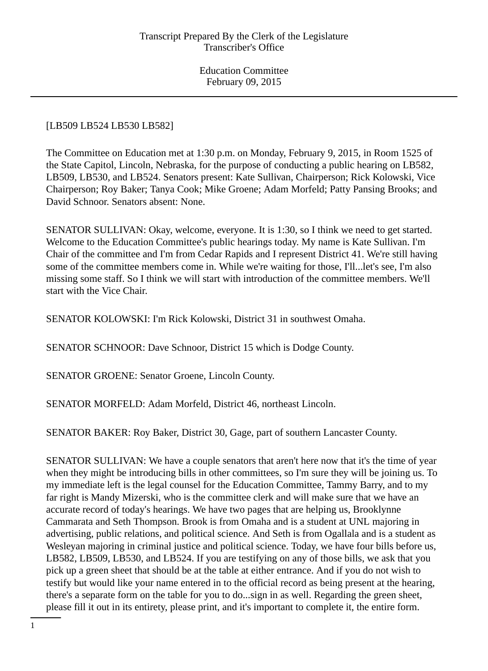## [LB509 LB524 LB530 LB582]

The Committee on Education met at 1:30 p.m. on Monday, February 9, 2015, in Room 1525 of the State Capitol, Lincoln, Nebraska, for the purpose of conducting a public hearing on LB582, LB509, LB530, and LB524. Senators present: Kate Sullivan, Chairperson; Rick Kolowski, Vice Chairperson; Roy Baker; Tanya Cook; Mike Groene; Adam Morfeld; Patty Pansing Brooks; and David Schnoor. Senators absent: None.

SENATOR SULLIVAN: Okay, welcome, everyone. It is 1:30, so I think we need to get started. Welcome to the Education Committee's public hearings today. My name is Kate Sullivan. I'm Chair of the committee and I'm from Cedar Rapids and I represent District 41. We're still having some of the committee members come in. While we're waiting for those, I'll...let's see, I'm also missing some staff. So I think we will start with introduction of the committee members. We'll start with the Vice Chair.

SENATOR KOLOWSKI: I'm Rick Kolowski, District 31 in southwest Omaha.

SENATOR SCHNOOR: Dave Schnoor, District 15 which is Dodge County.

SENATOR GROENE: Senator Groene, Lincoln County.

SENATOR MORFELD: Adam Morfeld, District 46, northeast Lincoln.

SENATOR BAKER: Roy Baker, District 30, Gage, part of southern Lancaster County.

SENATOR SULLIVAN: We have a couple senators that aren't here now that it's the time of year when they might be introducing bills in other committees, so I'm sure they will be joining us. To my immediate left is the legal counsel for the Education Committee, Tammy Barry, and to my far right is Mandy Mizerski, who is the committee clerk and will make sure that we have an accurate record of today's hearings. We have two pages that are helping us, Brooklynne Cammarata and Seth Thompson. Brook is from Omaha and is a student at UNL majoring in advertising, public relations, and political science. And Seth is from Ogallala and is a student as Wesleyan majoring in criminal justice and political science. Today, we have four bills before us, LB582, LB509, LB530, and LB524. If you are testifying on any of those bills, we ask that you pick up a green sheet that should be at the table at either entrance. And if you do not wish to testify but would like your name entered in to the official record as being present at the hearing, there's a separate form on the table for you to do...sign in as well. Regarding the green sheet, please fill it out in its entirety, please print, and it's important to complete it, the entire form.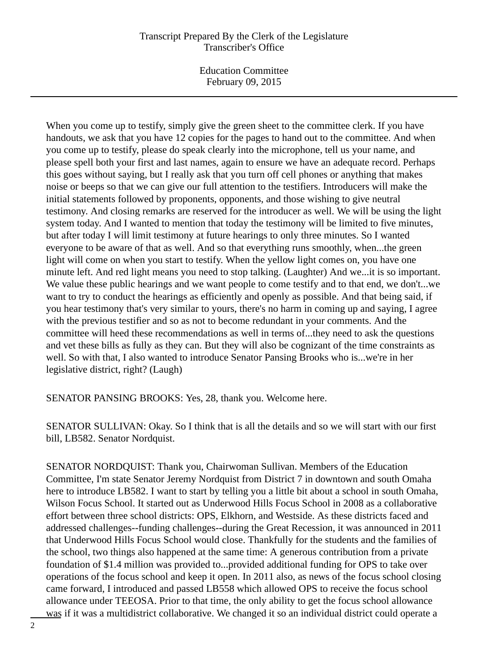Education Committee February 09, 2015

When you come up to testify, simply give the green sheet to the committee clerk. If you have handouts, we ask that you have 12 copies for the pages to hand out to the committee. And when you come up to testify, please do speak clearly into the microphone, tell us your name, and please spell both your first and last names, again to ensure we have an adequate record. Perhaps this goes without saying, but I really ask that you turn off cell phones or anything that makes noise or beeps so that we can give our full attention to the testifiers. Introducers will make the initial statements followed by proponents, opponents, and those wishing to give neutral testimony. And closing remarks are reserved for the introducer as well. We will be using the light system today. And I wanted to mention that today the testimony will be limited to five minutes, but after today I will limit testimony at future hearings to only three minutes. So I wanted everyone to be aware of that as well. And so that everything runs smoothly, when...the green light will come on when you start to testify. When the yellow light comes on, you have one minute left. And red light means you need to stop talking. (Laughter) And we...it is so important. We value these public hearings and we want people to come testify and to that end, we don't...we want to try to conduct the hearings as efficiently and openly as possible. And that being said, if you hear testimony that's very similar to yours, there's no harm in coming up and saying, I agree with the previous testifier and so as not to become redundant in your comments. And the committee will heed these recommendations as well in terms of...they need to ask the questions and vet these bills as fully as they can. But they will also be cognizant of the time constraints as well. So with that, I also wanted to introduce Senator Pansing Brooks who is...we're in her legislative district, right? (Laugh)

SENATOR PANSING BROOKS: Yes, 28, thank you. Welcome here.

SENATOR SULLIVAN: Okay. So I think that is all the details and so we will start with our first bill, LB582. Senator Nordquist.

SENATOR NORDQUIST: Thank you, Chairwoman Sullivan. Members of the Education Committee, I'm state Senator Jeremy Nordquist from District 7 in downtown and south Omaha here to introduce LB582. I want to start by telling you a little bit about a school in south Omaha, Wilson Focus School. It started out as Underwood Hills Focus School in 2008 as a collaborative effort between three school districts: OPS, Elkhorn, and Westside. As these districts faced and addressed challenges--funding challenges--during the Great Recession, it was announced in 2011 that Underwood Hills Focus School would close. Thankfully for the students and the families of the school, two things also happened at the same time: A generous contribution from a private foundation of \$1.4 million was provided to...provided additional funding for OPS to take over operations of the focus school and keep it open. In 2011 also, as news of the focus school closing came forward, I introduced and passed LB558 which allowed OPS to receive the focus school allowance under TEEOSA. Prior to that time, the only ability to get the focus school allowance was if it was a multidistrict collaborative. We changed it so an individual district could operate a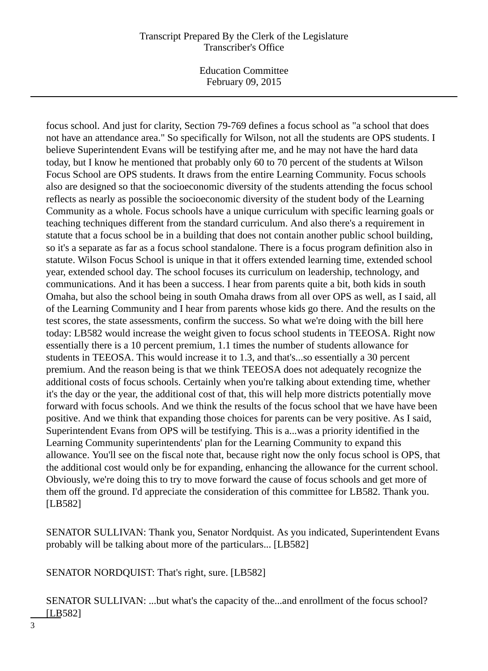Education Committee February 09, 2015

focus school. And just for clarity, Section 79-769 defines a focus school as "a school that does not have an attendance area." So specifically for Wilson, not all the students are OPS students. I believe Superintendent Evans will be testifying after me, and he may not have the hard data today, but I know he mentioned that probably only 60 to 70 percent of the students at Wilson Focus School are OPS students. It draws from the entire Learning Community. Focus schools also are designed so that the socioeconomic diversity of the students attending the focus school reflects as nearly as possible the socioeconomic diversity of the student body of the Learning Community as a whole. Focus schools have a unique curriculum with specific learning goals or teaching techniques different from the standard curriculum. And also there's a requirement in statute that a focus school be in a building that does not contain another public school building, so it's a separate as far as a focus school standalone. There is a focus program definition also in statute. Wilson Focus School is unique in that it offers extended learning time, extended school year, extended school day. The school focuses its curriculum on leadership, technology, and communications. And it has been a success. I hear from parents quite a bit, both kids in south Omaha, but also the school being in south Omaha draws from all over OPS as well, as I said, all of the Learning Community and I hear from parents whose kids go there. And the results on the test scores, the state assessments, confirm the success. So what we're doing with the bill here today: LB582 would increase the weight given to focus school students in TEEOSA. Right now essentially there is a 10 percent premium, 1.1 times the number of students allowance for students in TEEOSA. This would increase it to 1.3, and that's...so essentially a 30 percent premium. And the reason being is that we think TEEOSA does not adequately recognize the additional costs of focus schools. Certainly when you're talking about extending time, whether it's the day or the year, the additional cost of that, this will help more districts potentially move forward with focus schools. And we think the results of the focus school that we have have been positive. And we think that expanding those choices for parents can be very positive. As I said, Superintendent Evans from OPS will be testifying. This is a...was a priority identified in the Learning Community superintendents' plan for the Learning Community to expand this allowance. You'll see on the fiscal note that, because right now the only focus school is OPS, that the additional cost would only be for expanding, enhancing the allowance for the current school. Obviously, we're doing this to try to move forward the cause of focus schools and get more of them off the ground. I'd appreciate the consideration of this committee for LB582. Thank you. [LB582]

SENATOR SULLIVAN: Thank you, Senator Nordquist. As you indicated, Superintendent Evans probably will be talking about more of the particulars... [LB582]

SENATOR NORDQUIST: That's right, sure. [LB582]

SENATOR SULLIVAN: ...but what's the capacity of the...and enrollment of the focus school? [LB582]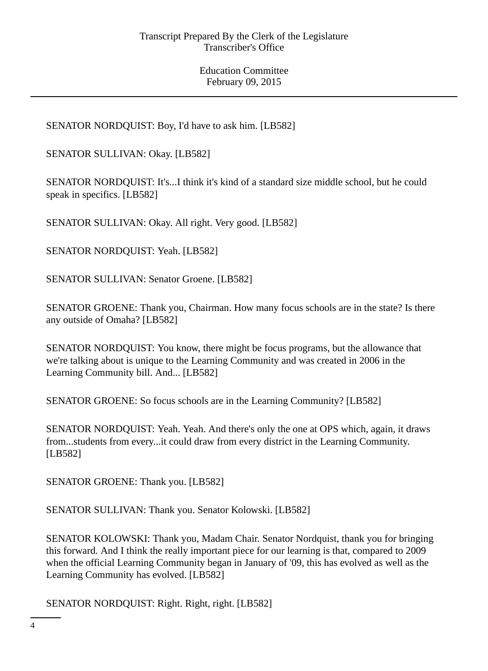SENATOR NORDQUIST: Boy, I'd have to ask him. [LB582]

SENATOR SULLIVAN: Okay. [LB582]

SENATOR NORDQUIST: It's...I think it's kind of a standard size middle school, but he could speak in specifics. [LB582]

SENATOR SULLIVAN: Okay. All right. Very good. [LB582]

SENATOR NORDQUIST: Yeah. [LB582]

SENATOR SULLIVAN: Senator Groene. [LB582]

SENATOR GROENE: Thank you, Chairman. How many focus schools are in the state? Is there any outside of Omaha? [LB582]

SENATOR NORDQUIST: You know, there might be focus programs, but the allowance that we're talking about is unique to the Learning Community and was created in 2006 in the Learning Community bill. And... [LB582]

SENATOR GROENE: So focus schools are in the Learning Community? [LB582]

SENATOR NORDQUIST: Yeah. Yeah. And there's only the one at OPS which, again, it draws from...students from every...it could draw from every district in the Learning Community. [LB582]

SENATOR GROENE: Thank you. [LB582]

SENATOR SULLIVAN: Thank you. Senator Kolowski. [LB582]

SENATOR KOLOWSKI: Thank you, Madam Chair. Senator Nordquist, thank you for bringing this forward. And I think the really important piece for our learning is that, compared to 2009 when the official Learning Community began in January of '09, this has evolved as well as the Learning Community has evolved. [LB582]

SENATOR NORDQUIST: Right. Right, right. [LB582]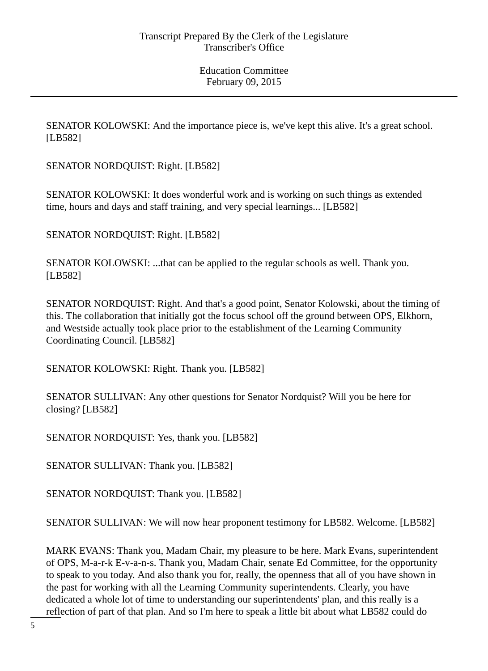SENATOR KOLOWSKI: And the importance piece is, we've kept this alive. It's a great school. [LB582]

SENATOR NORDQUIST: Right. [LB582]

SENATOR KOLOWSKI: It does wonderful work and is working on such things as extended time, hours and days and staff training, and very special learnings... [LB582]

SENATOR NORDQUIST: Right. [LB582]

SENATOR KOLOWSKI: ...that can be applied to the regular schools as well. Thank you. [LB582]

SENATOR NORDQUIST: Right. And that's a good point, Senator Kolowski, about the timing of this. The collaboration that initially got the focus school off the ground between OPS, Elkhorn, and Westside actually took place prior to the establishment of the Learning Community Coordinating Council. [LB582]

SENATOR KOLOWSKI: Right. Thank you. [LB582]

SENATOR SULLIVAN: Any other questions for Senator Nordquist? Will you be here for closing? [LB582]

SENATOR NORDQUIST: Yes, thank you. [LB582]

SENATOR SULLIVAN: Thank you. [LB582]

SENATOR NORDQUIST: Thank you. [LB582]

SENATOR SULLIVAN: We will now hear proponent testimony for LB582. Welcome. [LB582]

MARK EVANS: Thank you, Madam Chair, my pleasure to be here. Mark Evans, superintendent of OPS, M-a-r-k E-v-a-n-s. Thank you, Madam Chair, senate Ed Committee, for the opportunity to speak to you today. And also thank you for, really, the openness that all of you have shown in the past for working with all the Learning Community superintendents. Clearly, you have dedicated a whole lot of time to understanding our superintendents' plan, and this really is a reflection of part of that plan. And so I'm here to speak a little bit about what LB582 could do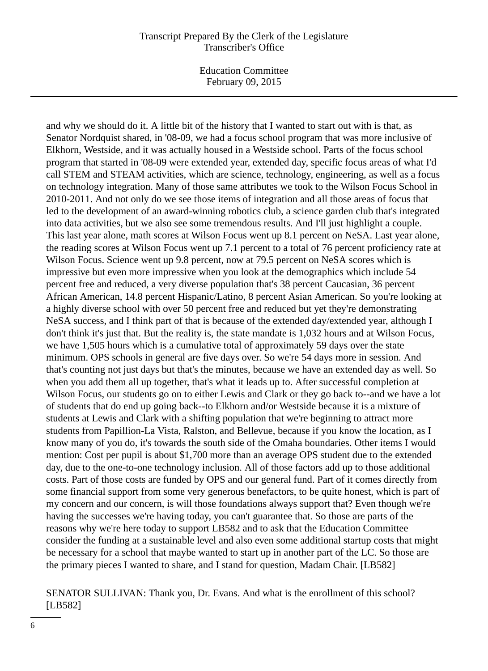Education Committee February 09, 2015

and why we should do it. A little bit of the history that I wanted to start out with is that, as Senator Nordquist shared, in '08-09, we had a focus school program that was more inclusive of Elkhorn, Westside, and it was actually housed in a Westside school. Parts of the focus school program that started in '08-09 were extended year, extended day, specific focus areas of what I'd call STEM and STEAM activities, which are science, technology, engineering, as well as a focus on technology integration. Many of those same attributes we took to the Wilson Focus School in 2010-2011. And not only do we see those items of integration and all those areas of focus that led to the development of an award-winning robotics club, a science garden club that's integrated into data activities, but we also see some tremendous results. And I'll just highlight a couple. This last year alone, math scores at Wilson Focus went up 8.1 percent on NeSA. Last year alone, the reading scores at Wilson Focus went up 7.1 percent to a total of 76 percent proficiency rate at Wilson Focus. Science went up 9.8 percent, now at 79.5 percent on NeSA scores which is impressive but even more impressive when you look at the demographics which include 54 percent free and reduced, a very diverse population that's 38 percent Caucasian, 36 percent African American, 14.8 percent Hispanic/Latino, 8 percent Asian American. So you're looking at a highly diverse school with over 50 percent free and reduced but yet they're demonstrating NeSA success, and I think part of that is because of the extended day/extended year, although I don't think it's just that. But the reality is, the state mandate is 1,032 hours and at Wilson Focus, we have 1,505 hours which is a cumulative total of approximately 59 days over the state minimum. OPS schools in general are five days over. So we're 54 days more in session. And that's counting not just days but that's the minutes, because we have an extended day as well. So when you add them all up together, that's what it leads up to. After successful completion at Wilson Focus, our students go on to either Lewis and Clark or they go back to--and we have a lot of students that do end up going back--to Elkhorn and/or Westside because it is a mixture of students at Lewis and Clark with a shifting population that we're beginning to attract more students from Papillion-La Vista, Ralston, and Bellevue, because if you know the location, as I know many of you do, it's towards the south side of the Omaha boundaries. Other items I would mention: Cost per pupil is about \$1,700 more than an average OPS student due to the extended day, due to the one-to-one technology inclusion. All of those factors add up to those additional costs. Part of those costs are funded by OPS and our general fund. Part of it comes directly from some financial support from some very generous benefactors, to be quite honest, which is part of my concern and our concern, is will those foundations always support that? Even though we're having the successes we're having today, you can't guarantee that. So those are parts of the reasons why we're here today to support LB582 and to ask that the Education Committee consider the funding at a sustainable level and also even some additional startup costs that might be necessary for a school that maybe wanted to start up in another part of the LC. So those are the primary pieces I wanted to share, and I stand for question, Madam Chair. [LB582]

#### SENATOR SULLIVAN: Thank you, Dr. Evans. And what is the enrollment of this school? [LB582]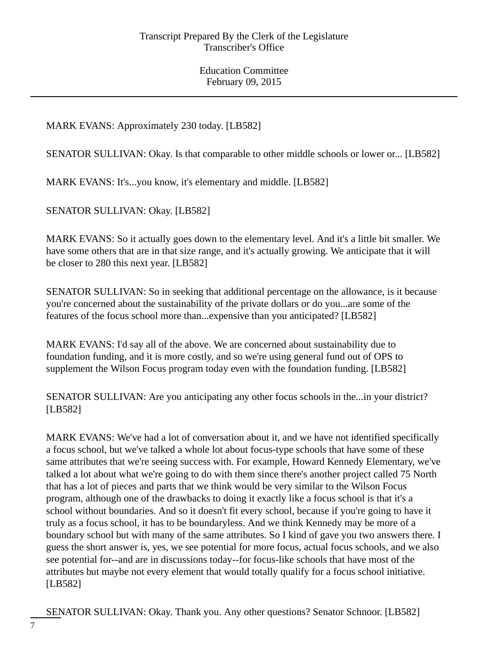# MARK EVANS: Approximately 230 today. [LB582]

SENATOR SULLIVAN: Okay. Is that comparable to other middle schools or lower or... [LB582]

MARK EVANS: It's...you know, it's elementary and middle. [LB582]

SENATOR SULLIVAN: Okay. [LB582]

MARK EVANS: So it actually goes down to the elementary level. And it's a little bit smaller. We have some others that are in that size range, and it's actually growing. We anticipate that it will be closer to 280 this next year. [LB582]

SENATOR SULLIVAN: So in seeking that additional percentage on the allowance, is it because you're concerned about the sustainability of the private dollars or do you...are some of the features of the focus school more than...expensive than you anticipated? [LB582]

MARK EVANS: I'd say all of the above. We are concerned about sustainability due to foundation funding, and it is more costly, and so we're using general fund out of OPS to supplement the Wilson Focus program today even with the foundation funding. [LB582]

SENATOR SULLIVAN: Are you anticipating any other focus schools in the...in your district? [LB582]

MARK EVANS: We've had a lot of conversation about it, and we have not identified specifically a focus school, but we've talked a whole lot about focus-type schools that have some of these same attributes that we're seeing success with. For example, Howard Kennedy Elementary, we've talked a lot about what we're going to do with them since there's another project called 75 North that has a lot of pieces and parts that we think would be very similar to the Wilson Focus program, although one of the drawbacks to doing it exactly like a focus school is that it's a school without boundaries. And so it doesn't fit every school, because if you're going to have it truly as a focus school, it has to be boundaryless. And we think Kennedy may be more of a boundary school but with many of the same attributes. So I kind of gave you two answers there. I guess the short answer is, yes, we see potential for more focus, actual focus schools, and we also see potential for--and are in discussions today--for focus-like schools that have most of the attributes but maybe not every element that would totally qualify for a focus school initiative. [LB582]

SENATOR SULLIVAN: Okay. Thank you. Any other questions? Senator Schnoor. [LB582]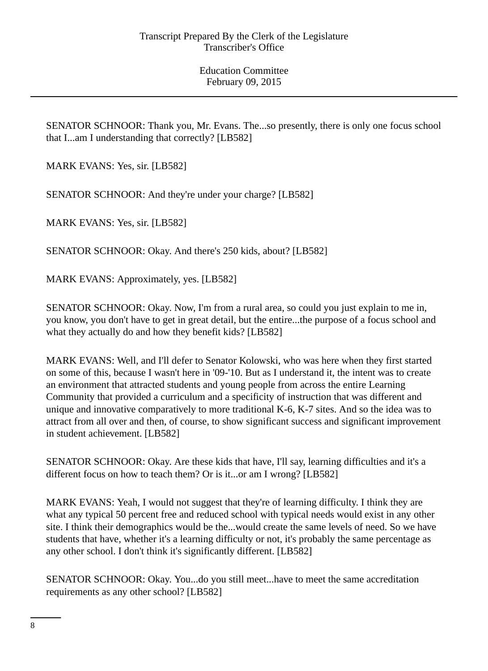SENATOR SCHNOOR: Thank you, Mr. Evans. The...so presently, there is only one focus school that I...am I understanding that correctly? [LB582]

MARK EVANS: Yes, sir. [LB582]

SENATOR SCHNOOR: And they're under your charge? [LB582]

MARK EVANS: Yes, sir. [LB582]

SENATOR SCHNOOR: Okay. And there's 250 kids, about? [LB582]

MARK EVANS: Approximately, yes. [LB582]

SENATOR SCHNOOR: Okay. Now, I'm from a rural area, so could you just explain to me in, you know, you don't have to get in great detail, but the entire...the purpose of a focus school and what they actually do and how they benefit kids? [LB582]

MARK EVANS: Well, and I'll defer to Senator Kolowski, who was here when they first started on some of this, because I wasn't here in '09-'10. But as I understand it, the intent was to create an environment that attracted students and young people from across the entire Learning Community that provided a curriculum and a specificity of instruction that was different and unique and innovative comparatively to more traditional K-6, K-7 sites. And so the idea was to attract from all over and then, of course, to show significant success and significant improvement in student achievement. [LB582]

SENATOR SCHNOOR: Okay. Are these kids that have, I'll say, learning difficulties and it's a different focus on how to teach them? Or is it...or am I wrong? [LB582]

MARK EVANS: Yeah, I would not suggest that they're of learning difficulty. I think they are what any typical 50 percent free and reduced school with typical needs would exist in any other site. I think their demographics would be the...would create the same levels of need. So we have students that have, whether it's a learning difficulty or not, it's probably the same percentage as any other school. I don't think it's significantly different. [LB582]

SENATOR SCHNOOR: Okay. You...do you still meet...have to meet the same accreditation requirements as any other school? [LB582]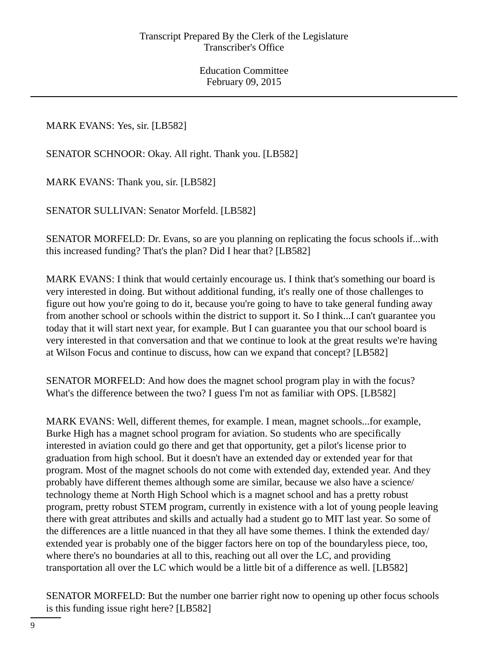MARK EVANS: Yes, sir. [LB582]

SENATOR SCHNOOR: Okay. All right. Thank you. [LB582]

MARK EVANS: Thank you, sir. [LB582]

SENATOR SULLIVAN: Senator Morfeld. [LB582]

SENATOR MORFELD: Dr. Evans, so are you planning on replicating the focus schools if...with this increased funding? That's the plan? Did I hear that? [LB582]

MARK EVANS: I think that would certainly encourage us. I think that's something our board is very interested in doing. But without additional funding, it's really one of those challenges to figure out how you're going to do it, because you're going to have to take general funding away from another school or schools within the district to support it. So I think...I can't guarantee you today that it will start next year, for example. But I can guarantee you that our school board is very interested in that conversation and that we continue to look at the great results we're having at Wilson Focus and continue to discuss, how can we expand that concept? [LB582]

SENATOR MORFELD: And how does the magnet school program play in with the focus? What's the difference between the two? I guess I'm not as familiar with OPS. [LB582]

MARK EVANS: Well, different themes, for example. I mean, magnet schools...for example, Burke High has a magnet school program for aviation. So students who are specifically interested in aviation could go there and get that opportunity, get a pilot's license prior to graduation from high school. But it doesn't have an extended day or extended year for that program. Most of the magnet schools do not come with extended day, extended year. And they probably have different themes although some are similar, because we also have a science/ technology theme at North High School which is a magnet school and has a pretty robust program, pretty robust STEM program, currently in existence with a lot of young people leaving there with great attributes and skills and actually had a student go to MIT last year. So some of the differences are a little nuanced in that they all have some themes. I think the extended day/ extended year is probably one of the bigger factors here on top of the boundaryless piece, too, where there's no boundaries at all to this, reaching out all over the LC, and providing transportation all over the LC which would be a little bit of a difference as well. [LB582]

SENATOR MORFELD: But the number one barrier right now to opening up other focus schools is this funding issue right here? [LB582]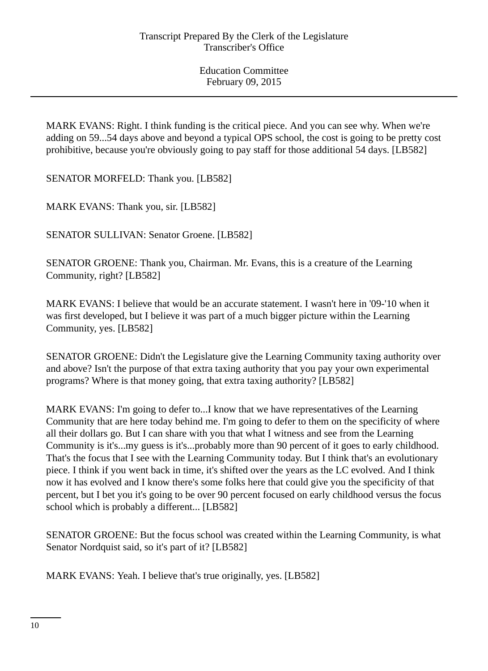MARK EVANS: Right. I think funding is the critical piece. And you can see why. When we're adding on 59...54 days above and beyond a typical OPS school, the cost is going to be pretty cost prohibitive, because you're obviously going to pay staff for those additional 54 days. [LB582]

SENATOR MORFELD: Thank you. [LB582]

MARK EVANS: Thank you, sir. [LB582]

SENATOR SULLIVAN: Senator Groene. [LB582]

SENATOR GROENE: Thank you, Chairman. Mr. Evans, this is a creature of the Learning Community, right? [LB582]

MARK EVANS: I believe that would be an accurate statement. I wasn't here in '09-'10 when it was first developed, but I believe it was part of a much bigger picture within the Learning Community, yes. [LB582]

SENATOR GROENE: Didn't the Legislature give the Learning Community taxing authority over and above? Isn't the purpose of that extra taxing authority that you pay your own experimental programs? Where is that money going, that extra taxing authority? [LB582]

MARK EVANS: I'm going to defer to...I know that we have representatives of the Learning Community that are here today behind me. I'm going to defer to them on the specificity of where all their dollars go. But I can share with you that what I witness and see from the Learning Community is it's...my guess is it's...probably more than 90 percent of it goes to early childhood. That's the focus that I see with the Learning Community today. But I think that's an evolutionary piece. I think if you went back in time, it's shifted over the years as the LC evolved. And I think now it has evolved and I know there's some folks here that could give you the specificity of that percent, but I bet you it's going to be over 90 percent focused on early childhood versus the focus school which is probably a different... [LB582]

SENATOR GROENE: But the focus school was created within the Learning Community, is what Senator Nordquist said, so it's part of it? [LB582]

MARK EVANS: Yeah. I believe that's true originally, yes. [LB582]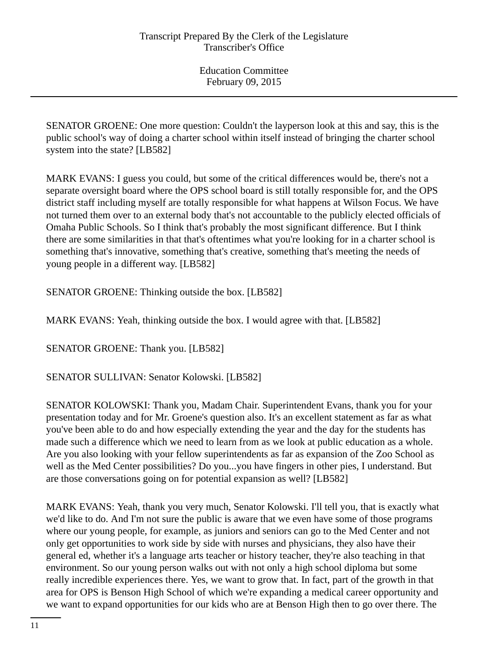SENATOR GROENE: One more question: Couldn't the layperson look at this and say, this is the public school's way of doing a charter school within itself instead of bringing the charter school system into the state? [LB582]

MARK EVANS: I guess you could, but some of the critical differences would be, there's not a separate oversight board where the OPS school board is still totally responsible for, and the OPS district staff including myself are totally responsible for what happens at Wilson Focus. We have not turned them over to an external body that's not accountable to the publicly elected officials of Omaha Public Schools. So I think that's probably the most significant difference. But I think there are some similarities in that that's oftentimes what you're looking for in a charter school is something that's innovative, something that's creative, something that's meeting the needs of young people in a different way. [LB582]

SENATOR GROENE: Thinking outside the box. [LB582]

MARK EVANS: Yeah, thinking outside the box. I would agree with that. [LB582]

SENATOR GROENE: Thank you. [LB582]

SENATOR SULLIVAN: Senator Kolowski. [LB582]

SENATOR KOLOWSKI: Thank you, Madam Chair. Superintendent Evans, thank you for your presentation today and for Mr. Groene's question also. It's an excellent statement as far as what you've been able to do and how especially extending the year and the day for the students has made such a difference which we need to learn from as we look at public education as a whole. Are you also looking with your fellow superintendents as far as expansion of the Zoo School as well as the Med Center possibilities? Do you...you have fingers in other pies, I understand. But are those conversations going on for potential expansion as well? [LB582]

MARK EVANS: Yeah, thank you very much, Senator Kolowski. I'll tell you, that is exactly what we'd like to do. And I'm not sure the public is aware that we even have some of those programs where our young people, for example, as juniors and seniors can go to the Med Center and not only get opportunities to work side by side with nurses and physicians, they also have their general ed, whether it's a language arts teacher or history teacher, they're also teaching in that environment. So our young person walks out with not only a high school diploma but some really incredible experiences there. Yes, we want to grow that. In fact, part of the growth in that area for OPS is Benson High School of which we're expanding a medical career opportunity and we want to expand opportunities for our kids who are at Benson High then to go over there. The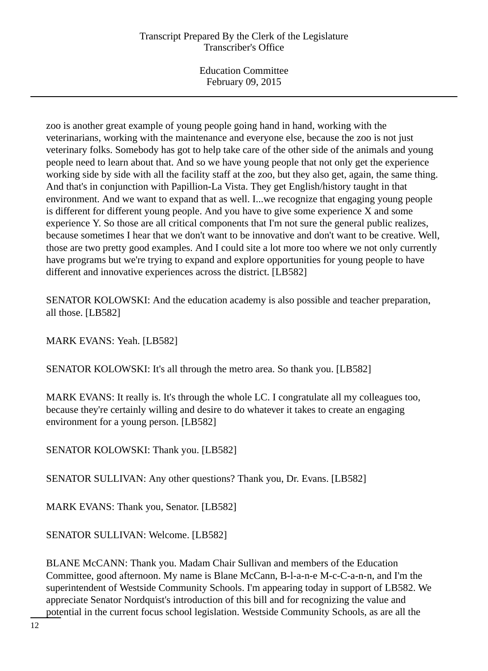Education Committee February 09, 2015

zoo is another great example of young people going hand in hand, working with the veterinarians, working with the maintenance and everyone else, because the zoo is not just veterinary folks. Somebody has got to help take care of the other side of the animals and young people need to learn about that. And so we have young people that not only get the experience working side by side with all the facility staff at the zoo, but they also get, again, the same thing. And that's in conjunction with Papillion-La Vista. They get English/history taught in that environment. And we want to expand that as well. I...we recognize that engaging young people is different for different young people. And you have to give some experience X and some experience Y. So those are all critical components that I'm not sure the general public realizes, because sometimes I hear that we don't want to be innovative and don't want to be creative. Well, those are two pretty good examples. And I could site a lot more too where we not only currently have programs but we're trying to expand and explore opportunities for young people to have different and innovative experiences across the district. [LB582]

SENATOR KOLOWSKI: And the education academy is also possible and teacher preparation, all those. [LB582]

MARK EVANS: Yeah. [LB582]

SENATOR KOLOWSKI: It's all through the metro area. So thank you. [LB582]

MARK EVANS: It really is. It's through the whole LC. I congratulate all my colleagues too, because they're certainly willing and desire to do whatever it takes to create an engaging environment for a young person. [LB582]

SENATOR KOLOWSKI: Thank you. [LB582]

SENATOR SULLIVAN: Any other questions? Thank you, Dr. Evans. [LB582]

MARK EVANS: Thank you, Senator. [LB582]

SENATOR SULLIVAN: Welcome. [LB582]

BLANE McCANN: Thank you. Madam Chair Sullivan and members of the Education Committee, good afternoon. My name is Blane McCann, B-l-a-n-e M-c-C-a-n-n, and I'm the superintendent of Westside Community Schools. I'm appearing today in support of LB582. We appreciate Senator Nordquist's introduction of this bill and for recognizing the value and potential in the current focus school legislation. Westside Community Schools, as are all the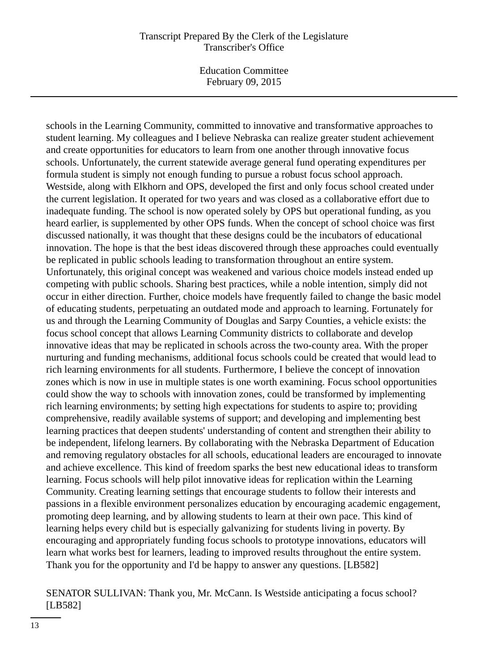Education Committee February 09, 2015

schools in the Learning Community, committed to innovative and transformative approaches to student learning. My colleagues and I believe Nebraska can realize greater student achievement and create opportunities for educators to learn from one another through innovative focus schools. Unfortunately, the current statewide average general fund operating expenditures per formula student is simply not enough funding to pursue a robust focus school approach. Westside, along with Elkhorn and OPS, developed the first and only focus school created under the current legislation. It operated for two years and was closed as a collaborative effort due to inadequate funding. The school is now operated solely by OPS but operational funding, as you heard earlier, is supplemented by other OPS funds. When the concept of school choice was first discussed nationally, it was thought that these designs could be the incubators of educational innovation. The hope is that the best ideas discovered through these approaches could eventually be replicated in public schools leading to transformation throughout an entire system. Unfortunately, this original concept was weakened and various choice models instead ended up competing with public schools. Sharing best practices, while a noble intention, simply did not occur in either direction. Further, choice models have frequently failed to change the basic model of educating students, perpetuating an outdated mode and approach to learning. Fortunately for us and through the Learning Community of Douglas and Sarpy Counties, a vehicle exists: the focus school concept that allows Learning Community districts to collaborate and develop innovative ideas that may be replicated in schools across the two-county area. With the proper nurturing and funding mechanisms, additional focus schools could be created that would lead to rich learning environments for all students. Furthermore, I believe the concept of innovation zones which is now in use in multiple states is one worth examining. Focus school opportunities could show the way to schools with innovation zones, could be transformed by implementing rich learning environments; by setting high expectations for students to aspire to; providing comprehensive, readily available systems of support; and developing and implementing best learning practices that deepen students' understanding of content and strengthen their ability to be independent, lifelong learners. By collaborating with the Nebraska Department of Education and removing regulatory obstacles for all schools, educational leaders are encouraged to innovate and achieve excellence. This kind of freedom sparks the best new educational ideas to transform learning. Focus schools will help pilot innovative ideas for replication within the Learning Community. Creating learning settings that encourage students to follow their interests and passions in a flexible environment personalizes education by encouraging academic engagement, promoting deep learning, and by allowing students to learn at their own pace. This kind of learning helps every child but is especially galvanizing for students living in poverty. By encouraging and appropriately funding focus schools to prototype innovations, educators will learn what works best for learners, leading to improved results throughout the entire system. Thank you for the opportunity and I'd be happy to answer any questions. [LB582]

## SENATOR SULLIVAN: Thank you, Mr. McCann. Is Westside anticipating a focus school? [LB582]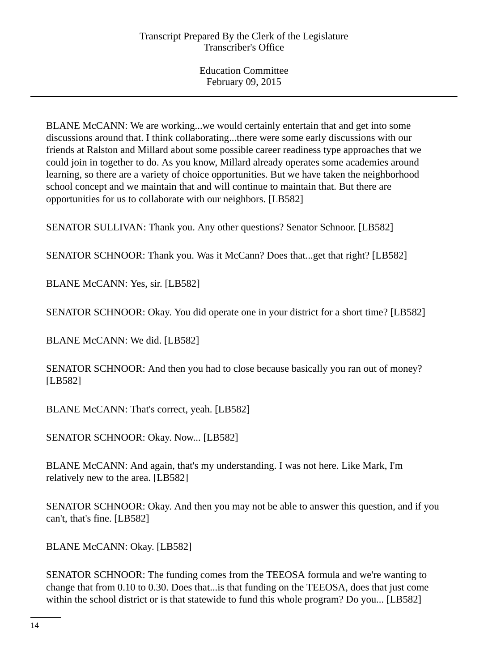BLANE McCANN: We are working...we would certainly entertain that and get into some discussions around that. I think collaborating...there were some early discussions with our friends at Ralston and Millard about some possible career readiness type approaches that we could join in together to do. As you know, Millard already operates some academies around learning, so there are a variety of choice opportunities. But we have taken the neighborhood school concept and we maintain that and will continue to maintain that. But there are opportunities for us to collaborate with our neighbors. [LB582]

SENATOR SULLIVAN: Thank you. Any other questions? Senator Schnoor. [LB582]

SENATOR SCHNOOR: Thank you. Was it McCann? Does that...get that right? [LB582]

BLANE McCANN: Yes, sir. [LB582]

SENATOR SCHNOOR: Okay. You did operate one in your district for a short time? [LB582]

BLANE McCANN: We did. [LB582]

SENATOR SCHNOOR: And then you had to close because basically you ran out of money? [LB582]

BLANE McCANN: That's correct, yeah. [LB582]

SENATOR SCHNOOR: Okay. Now... [LB582]

BLANE McCANN: And again, that's my understanding. I was not here. Like Mark, I'm relatively new to the area. [LB582]

SENATOR SCHNOOR: Okay. And then you may not be able to answer this question, and if you can't, that's fine. [LB582]

BLANE McCANN: Okay. [LB582]

SENATOR SCHNOOR: The funding comes from the TEEOSA formula and we're wanting to change that from 0.10 to 0.30. Does that...is that funding on the TEEOSA, does that just come within the school district or is that statewide to fund this whole program? Do you... [LB582]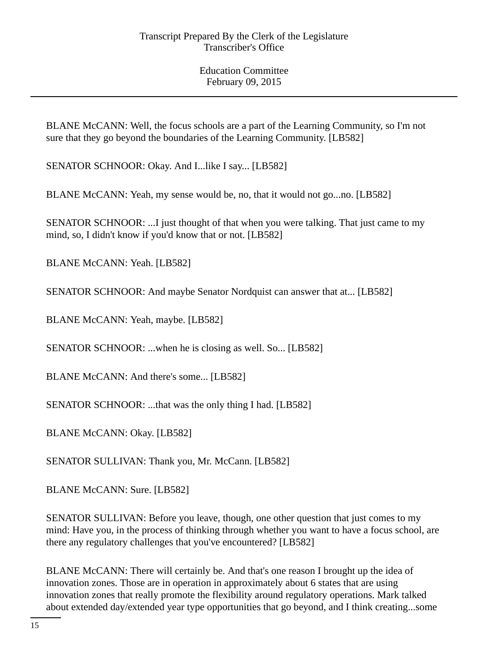BLANE McCANN: Well, the focus schools are a part of the Learning Community, so I'm not sure that they go beyond the boundaries of the Learning Community. [LB582]

SENATOR SCHNOOR: Okay. And I...like I say... [LB582]

BLANE McCANN: Yeah, my sense would be, no, that it would not go...no. [LB582]

SENATOR SCHNOOR: ...I just thought of that when you were talking. That just came to my mind, so, I didn't know if you'd know that or not. [LB582]

BLANE McCANN: Yeah. [LB582]

SENATOR SCHNOOR: And maybe Senator Nordquist can answer that at... [LB582]

BLANE McCANN: Yeah, maybe. [LB582]

SENATOR SCHNOOR: ...when he is closing as well. So... [LB582]

BLANE McCANN: And there's some... [LB582]

SENATOR SCHNOOR: ...that was the only thing I had. [LB582]

BLANE McCANN: Okay. [LB582]

SENATOR SULLIVAN: Thank you, Mr. McCann. [LB582]

BLANE McCANN: Sure. [LB582]

SENATOR SULLIVAN: Before you leave, though, one other question that just comes to my mind: Have you, in the process of thinking through whether you want to have a focus school, are there any regulatory challenges that you've encountered? [LB582]

BLANE McCANN: There will certainly be. And that's one reason I brought up the idea of innovation zones. Those are in operation in approximately about 6 states that are using innovation zones that really promote the flexibility around regulatory operations. Mark talked about extended day/extended year type opportunities that go beyond, and I think creating...some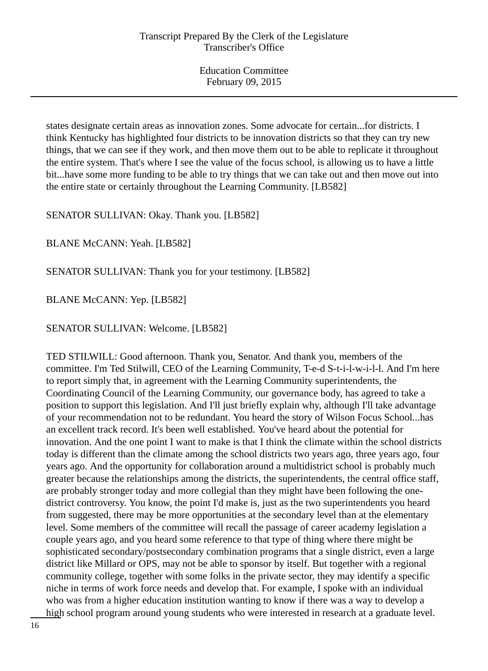states designate certain areas as innovation zones. Some advocate for certain...for districts. I think Kentucky has highlighted four districts to be innovation districts so that they can try new things, that we can see if they work, and then move them out to be able to replicate it throughout the entire system. That's where I see the value of the focus school, is allowing us to have a little bit...have some more funding to be able to try things that we can take out and then move out into the entire state or certainly throughout the Learning Community. [LB582]

SENATOR SULLIVAN: Okay. Thank you. [LB582]

BLANE McCANN: Yeah. [LB582]

SENATOR SULLIVAN: Thank you for your testimony. [LB582]

BLANE McCANN: Yep. [LB582]

SENATOR SULLIVAN: Welcome. [LB582]

TED STILWILL: Good afternoon. Thank you, Senator. And thank you, members of the committee. I'm Ted Stilwill, CEO of the Learning Community, T-e-d S-t-i-l-w-i-l-l. And I'm here to report simply that, in agreement with the Learning Community superintendents, the Coordinating Council of the Learning Community, our governance body, has agreed to take a position to support this legislation. And I'll just briefly explain why, although I'll take advantage of your recommendation not to be redundant. You heard the story of Wilson Focus School...has an excellent track record. It's been well established. You've heard about the potential for innovation. And the one point I want to make is that I think the climate within the school districts today is different than the climate among the school districts two years ago, three years ago, four years ago. And the opportunity for collaboration around a multidistrict school is probably much greater because the relationships among the districts, the superintendents, the central office staff, are probably stronger today and more collegial than they might have been following the onedistrict controversy. You know, the point I'd make is, just as the two superintendents you heard from suggested, there may be more opportunities at the secondary level than at the elementary level. Some members of the committee will recall the passage of career academy legislation a couple years ago, and you heard some reference to that type of thing where there might be sophisticated secondary/postsecondary combination programs that a single district, even a large district like Millard or OPS, may not be able to sponsor by itself. But together with a regional community college, together with some folks in the private sector, they may identify a specific niche in terms of work force needs and develop that. For example, I spoke with an individual who was from a higher education institution wanting to know if there was a way to develop a high school program around young students who were interested in research at a graduate level.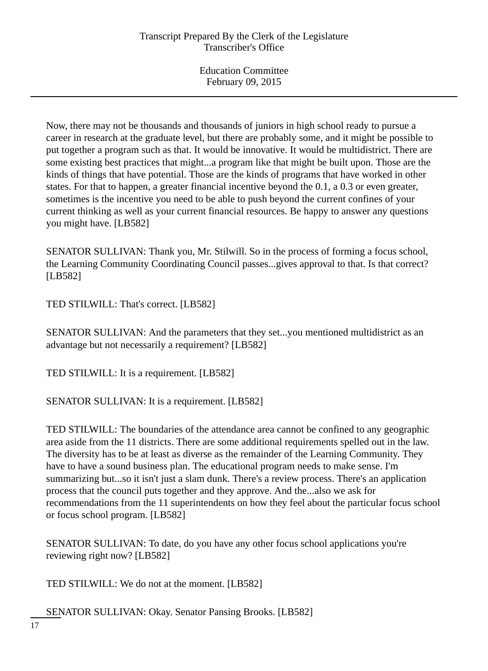Now, there may not be thousands and thousands of juniors in high school ready to pursue a career in research at the graduate level, but there are probably some, and it might be possible to put together a program such as that. It would be innovative. It would be multidistrict. There are some existing best practices that might...a program like that might be built upon. Those are the kinds of things that have potential. Those are the kinds of programs that have worked in other states. For that to happen, a greater financial incentive beyond the 0.1, a 0.3 or even greater, sometimes is the incentive you need to be able to push beyond the current confines of your current thinking as well as your current financial resources. Be happy to answer any questions you might have. [LB582]

SENATOR SULLIVAN: Thank you, Mr. Stilwill. So in the process of forming a focus school, the Learning Community Coordinating Council passes...gives approval to that. Is that correct? [LB582]

TED STILWILL: That's correct. [LB582]

SENATOR SULLIVAN: And the parameters that they set...you mentioned multidistrict as an advantage but not necessarily a requirement? [LB582]

TED STILWILL: It is a requirement. [LB582]

SENATOR SULLIVAN: It is a requirement. [LB582]

TED STILWILL: The boundaries of the attendance area cannot be confined to any geographic area aside from the 11 districts. There are some additional requirements spelled out in the law. The diversity has to be at least as diverse as the remainder of the Learning Community. They have to have a sound business plan. The educational program needs to make sense. I'm summarizing but...so it isn't just a slam dunk. There's a review process. There's an application process that the council puts together and they approve. And the...also we ask for recommendations from the 11 superintendents on how they feel about the particular focus school or focus school program. [LB582]

SENATOR SULLIVAN: To date, do you have any other focus school applications you're reviewing right now? [LB582]

TED STILWILL: We do not at the moment. [LB582]

SENATOR SULLIVAN: Okay. Senator Pansing Brooks. [LB582]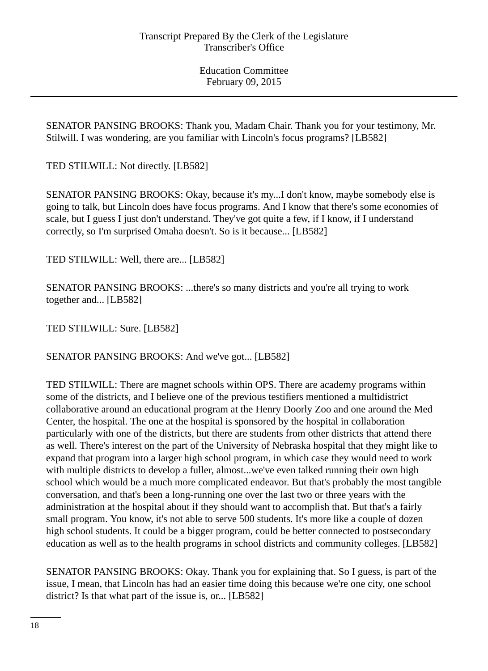SENATOR PANSING BROOKS: Thank you, Madam Chair. Thank you for your testimony, Mr. Stilwill. I was wondering, are you familiar with Lincoln's focus programs? [LB582]

TED STILWILL: Not directly. [LB582]

SENATOR PANSING BROOKS: Okay, because it's my...I don't know, maybe somebody else is going to talk, but Lincoln does have focus programs. And I know that there's some economies of scale, but I guess I just don't understand. They've got quite a few, if I know, if I understand correctly, so I'm surprised Omaha doesn't. So is it because... [LB582]

TED STILWILL: Well, there are... [LB582]

SENATOR PANSING BROOKS: ...there's so many districts and you're all trying to work together and... [LB582]

TED STILWILL: Sure. [LB582]

SENATOR PANSING BROOKS: And we've got... [LB582]

TED STILWILL: There are magnet schools within OPS. There are academy programs within some of the districts, and I believe one of the previous testifiers mentioned a multidistrict collaborative around an educational program at the Henry Doorly Zoo and one around the Med Center, the hospital. The one at the hospital is sponsored by the hospital in collaboration particularly with one of the districts, but there are students from other districts that attend there as well. There's interest on the part of the University of Nebraska hospital that they might like to expand that program into a larger high school program, in which case they would need to work with multiple districts to develop a fuller, almost...we've even talked running their own high school which would be a much more complicated endeavor. But that's probably the most tangible conversation, and that's been a long-running one over the last two or three years with the administration at the hospital about if they should want to accomplish that. But that's a fairly small program. You know, it's not able to serve 500 students. It's more like a couple of dozen high school students. It could be a bigger program, could be better connected to postsecondary education as well as to the health programs in school districts and community colleges. [LB582]

SENATOR PANSING BROOKS: Okay. Thank you for explaining that. So I guess, is part of the issue, I mean, that Lincoln has had an easier time doing this because we're one city, one school district? Is that what part of the issue is, or... [LB582]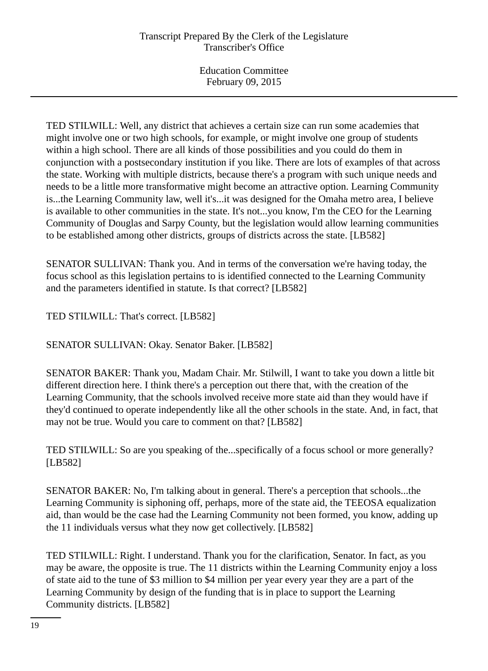TED STILWILL: Well, any district that achieves a certain size can run some academies that might involve one or two high schools, for example, or might involve one group of students within a high school. There are all kinds of those possibilities and you could do them in conjunction with a postsecondary institution if you like. There are lots of examples of that across the state. Working with multiple districts, because there's a program with such unique needs and needs to be a little more transformative might become an attractive option. Learning Community is...the Learning Community law, well it's...it was designed for the Omaha metro area, I believe is available to other communities in the state. It's not...you know, I'm the CEO for the Learning Community of Douglas and Sarpy County, but the legislation would allow learning communities to be established among other districts, groups of districts across the state. [LB582]

SENATOR SULLIVAN: Thank you. And in terms of the conversation we're having today, the focus school as this legislation pertains to is identified connected to the Learning Community and the parameters identified in statute. Is that correct? [LB582]

TED STILWILL: That's correct. [LB582]

SENATOR SULLIVAN: Okay. Senator Baker. [LB582]

SENATOR BAKER: Thank you, Madam Chair. Mr. Stilwill, I want to take you down a little bit different direction here. I think there's a perception out there that, with the creation of the Learning Community, that the schools involved receive more state aid than they would have if they'd continued to operate independently like all the other schools in the state. And, in fact, that may not be true. Would you care to comment on that? [LB582]

TED STILWILL: So are you speaking of the...specifically of a focus school or more generally? [LB582]

SENATOR BAKER: No, I'm talking about in general. There's a perception that schools...the Learning Community is siphoning off, perhaps, more of the state aid, the TEEOSA equalization aid, than would be the case had the Learning Community not been formed, you know, adding up the 11 individuals versus what they now get collectively. [LB582]

TED STILWILL: Right. I understand. Thank you for the clarification, Senator. In fact, as you may be aware, the opposite is true. The 11 districts within the Learning Community enjoy a loss of state aid to the tune of \$3 million to \$4 million per year every year they are a part of the Learning Community by design of the funding that is in place to support the Learning Community districts. [LB582]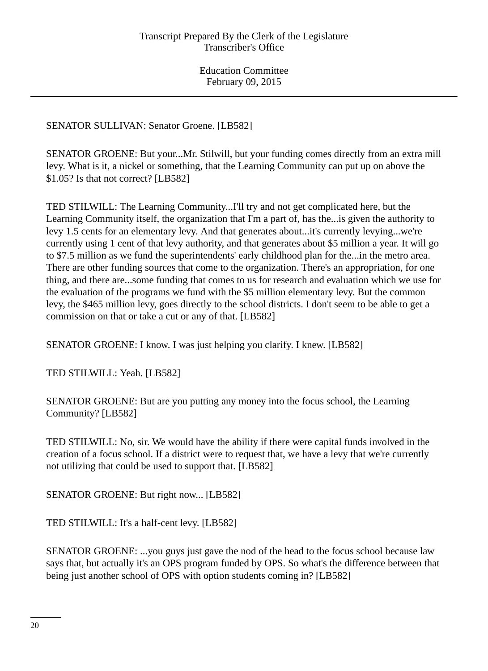SENATOR SULLIVAN: Senator Groene. [LB582]

SENATOR GROENE: But your...Mr. Stilwill, but your funding comes directly from an extra mill levy. What is it, a nickel or something, that the Learning Community can put up on above the \$1.05? Is that not correct? [LB582]

TED STILWILL: The Learning Community...I'll try and not get complicated here, but the Learning Community itself, the organization that I'm a part of, has the...is given the authority to levy 1.5 cents for an elementary levy. And that generates about...it's currently levying...we're currently using 1 cent of that levy authority, and that generates about \$5 million a year. It will go to \$7.5 million as we fund the superintendents' early childhood plan for the...in the metro area. There are other funding sources that come to the organization. There's an appropriation, for one thing, and there are...some funding that comes to us for research and evaluation which we use for the evaluation of the programs we fund with the \$5 million elementary levy. But the common levy, the \$465 million levy, goes directly to the school districts. I don't seem to be able to get a commission on that or take a cut or any of that. [LB582]

SENATOR GROENE: I know. I was just helping you clarify. I knew. [LB582]

TED STILWILL: Yeah. [LB582]

SENATOR GROENE: But are you putting any money into the focus school, the Learning Community? [LB582]

TED STILWILL: No, sir. We would have the ability if there were capital funds involved in the creation of a focus school. If a district were to request that, we have a levy that we're currently not utilizing that could be used to support that. [LB582]

SENATOR GROENE: But right now... [LB582]

TED STILWILL: It's a half-cent levy. [LB582]

SENATOR GROENE: ...you guys just gave the nod of the head to the focus school because law says that, but actually it's an OPS program funded by OPS. So what's the difference between that being just another school of OPS with option students coming in? [LB582]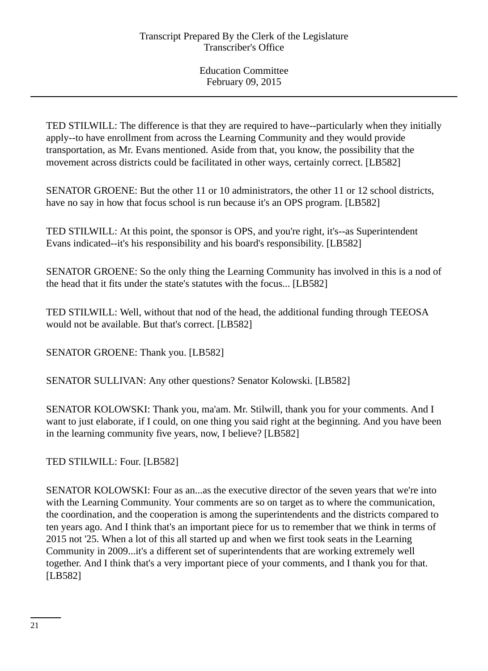TED STILWILL: The difference is that they are required to have--particularly when they initially apply--to have enrollment from across the Learning Community and they would provide transportation, as Mr. Evans mentioned. Aside from that, you know, the possibility that the movement across districts could be facilitated in other ways, certainly correct. [LB582]

SENATOR GROENE: But the other 11 or 10 administrators, the other 11 or 12 school districts, have no say in how that focus school is run because it's an OPS program. [LB582]

TED STILWILL: At this point, the sponsor is OPS, and you're right, it's--as Superintendent Evans indicated--it's his responsibility and his board's responsibility. [LB582]

SENATOR GROENE: So the only thing the Learning Community has involved in this is a nod of the head that it fits under the state's statutes with the focus... [LB582]

TED STILWILL: Well, without that nod of the head, the additional funding through TEEOSA would not be available. But that's correct. [LB582]

SENATOR GROENE: Thank you. [LB582]

SENATOR SULLIVAN: Any other questions? Senator Kolowski. [LB582]

SENATOR KOLOWSKI: Thank you, ma'am. Mr. Stilwill, thank you for your comments. And I want to just elaborate, if I could, on one thing you said right at the beginning. And you have been in the learning community five years, now, I believe? [LB582]

TED STILWILL: Four. [LB582]

SENATOR KOLOWSKI: Four as an...as the executive director of the seven years that we're into with the Learning Community. Your comments are so on target as to where the communication, the coordination, and the cooperation is among the superintendents and the districts compared to ten years ago. And I think that's an important piece for us to remember that we think in terms of 2015 not '25. When a lot of this all started up and when we first took seats in the Learning Community in 2009...it's a different set of superintendents that are working extremely well together. And I think that's a very important piece of your comments, and I thank you for that. [LB582]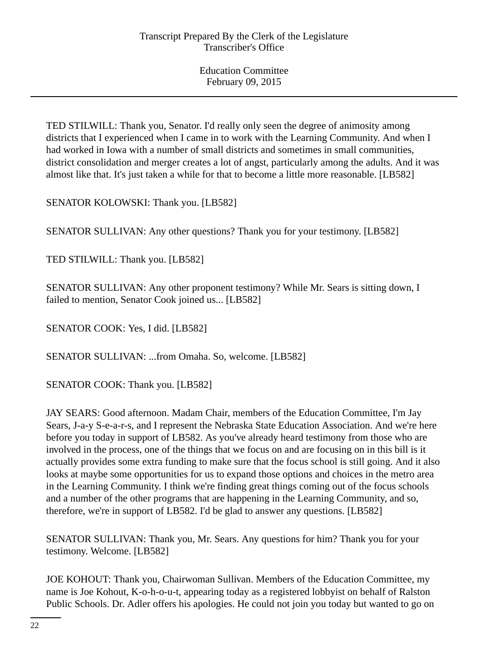TED STILWILL: Thank you, Senator. I'd really only seen the degree of animosity among districts that I experienced when I came in to work with the Learning Community. And when I had worked in Iowa with a number of small districts and sometimes in small communities, district consolidation and merger creates a lot of angst, particularly among the adults. And it was almost like that. It's just taken a while for that to become a little more reasonable. [LB582]

SENATOR KOLOWSKI: Thank you. [LB582]

SENATOR SULLIVAN: Any other questions? Thank you for your testimony. [LB582]

TED STILWILL: Thank you. [LB582]

SENATOR SULLIVAN: Any other proponent testimony? While Mr. Sears is sitting down, I failed to mention, Senator Cook joined us... [LB582]

SENATOR COOK: Yes, I did. [LB582]

SENATOR SULLIVAN: ...from Omaha. So, welcome. [LB582]

SENATOR COOK: Thank you. [LB582]

JAY SEARS: Good afternoon. Madam Chair, members of the Education Committee, I'm Jay Sears, J-a-y S-e-a-r-s, and I represent the Nebraska State Education Association. And we're here before you today in support of LB582. As you've already heard testimony from those who are involved in the process, one of the things that we focus on and are focusing on in this bill is it actually provides some extra funding to make sure that the focus school is still going. And it also looks at maybe some opportunities for us to expand those options and choices in the metro area in the Learning Community. I think we're finding great things coming out of the focus schools and a number of the other programs that are happening in the Learning Community, and so, therefore, we're in support of LB582. I'd be glad to answer any questions. [LB582]

SENATOR SULLIVAN: Thank you, Mr. Sears. Any questions for him? Thank you for your testimony. Welcome. [LB582]

JOE KOHOUT: Thank you, Chairwoman Sullivan. Members of the Education Committee, my name is Joe Kohout, K-o-h-o-u-t, appearing today as a registered lobbyist on behalf of Ralston Public Schools. Dr. Adler offers his apologies. He could not join you today but wanted to go on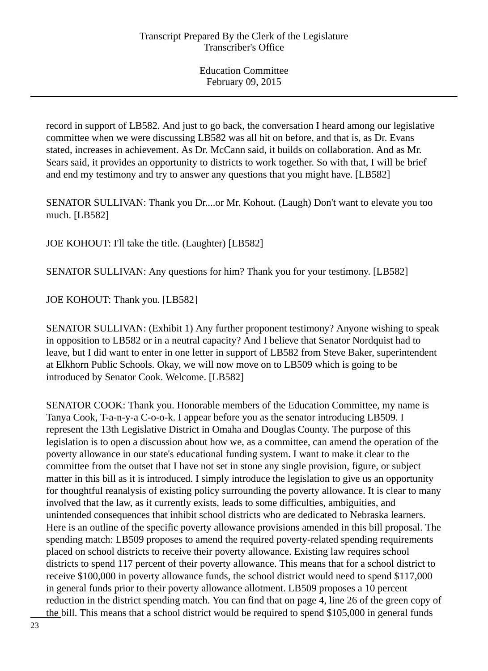record in support of LB582. And just to go back, the conversation I heard among our legislative committee when we were discussing LB582 was all hit on before, and that is, as Dr. Evans stated, increases in achievement. As Dr. McCann said, it builds on collaboration. And as Mr. Sears said, it provides an opportunity to districts to work together. So with that, I will be brief and end my testimony and try to answer any questions that you might have. [LB582]

SENATOR SULLIVAN: Thank you Dr....or Mr. Kohout. (Laugh) Don't want to elevate you too much. [LB582]

JOE KOHOUT: I'll take the title. (Laughter) [LB582]

SENATOR SULLIVAN: Any questions for him? Thank you for your testimony. [LB582]

JOE KOHOUT: Thank you. [LB582]

SENATOR SULLIVAN: (Exhibit 1) Any further proponent testimony? Anyone wishing to speak in opposition to LB582 or in a neutral capacity? And I believe that Senator Nordquist had to leave, but I did want to enter in one letter in support of LB582 from Steve Baker, superintendent at Elkhorn Public Schools. Okay, we will now move on to LB509 which is going to be introduced by Senator Cook. Welcome. [LB582]

SENATOR COOK: Thank you. Honorable members of the Education Committee, my name is Tanya Cook, T-a-n-y-a C-o-o-k. I appear before you as the senator introducing LB509. I represent the 13th Legislative District in Omaha and Douglas County. The purpose of this legislation is to open a discussion about how we, as a committee, can amend the operation of the poverty allowance in our state's educational funding system. I want to make it clear to the committee from the outset that I have not set in stone any single provision, figure, or subject matter in this bill as it is introduced. I simply introduce the legislation to give us an opportunity for thoughtful reanalysis of existing policy surrounding the poverty allowance. It is clear to many involved that the law, as it currently exists, leads to some difficulties, ambiguities, and unintended consequences that inhibit school districts who are dedicated to Nebraska learners. Here is an outline of the specific poverty allowance provisions amended in this bill proposal. The spending match: LB509 proposes to amend the required poverty-related spending requirements placed on school districts to receive their poverty allowance. Existing law requires school districts to spend 117 percent of their poverty allowance. This means that for a school district to receive \$100,000 in poverty allowance funds, the school district would need to spend \$117,000 in general funds prior to their poverty allowance allotment. LB509 proposes a 10 percent reduction in the district spending match. You can find that on page 4, line 26 of the green copy of the bill. This means that a school district would be required to spend \$105,000 in general funds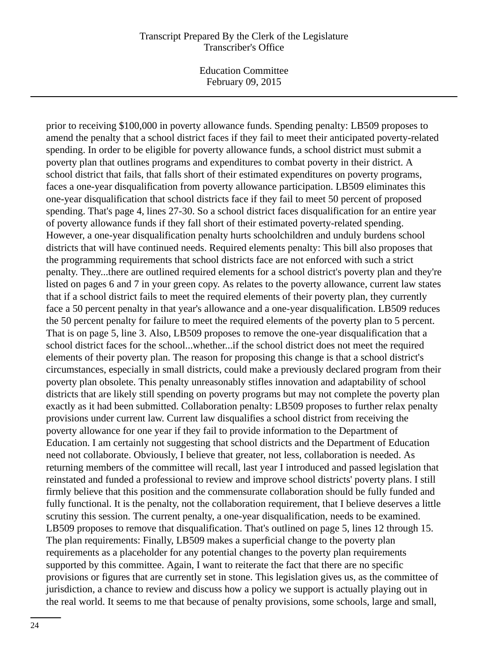Education Committee February 09, 2015

prior to receiving \$100,000 in poverty allowance funds. Spending penalty: LB509 proposes to amend the penalty that a school district faces if they fail to meet their anticipated poverty-related spending. In order to be eligible for poverty allowance funds, a school district must submit a poverty plan that outlines programs and expenditures to combat poverty in their district. A school district that fails, that falls short of their estimated expenditures on poverty programs, faces a one-year disqualification from poverty allowance participation. LB509 eliminates this one-year disqualification that school districts face if they fail to meet 50 percent of proposed spending. That's page 4, lines 27-30. So a school district faces disqualification for an entire year of poverty allowance funds if they fall short of their estimated poverty-related spending. However, a one-year disqualification penalty hurts schoolchildren and unduly burdens school districts that will have continued needs. Required elements penalty: This bill also proposes that the programming requirements that school districts face are not enforced with such a strict penalty. They...there are outlined required elements for a school district's poverty plan and they're listed on pages 6 and 7 in your green copy. As relates to the poverty allowance, current law states that if a school district fails to meet the required elements of their poverty plan, they currently face a 50 percent penalty in that year's allowance and a one-year disqualification. LB509 reduces the 50 percent penalty for failure to meet the required elements of the poverty plan to 5 percent. That is on page 5, line 3. Also, LB509 proposes to remove the one-year disqualification that a school district faces for the school...whether...if the school district does not meet the required elements of their poverty plan. The reason for proposing this change is that a school district's circumstances, especially in small districts, could make a previously declared program from their poverty plan obsolete. This penalty unreasonably stifles innovation and adaptability of school districts that are likely still spending on poverty programs but may not complete the poverty plan exactly as it had been submitted. Collaboration penalty: LB509 proposes to further relax penalty provisions under current law. Current law disqualifies a school district from receiving the poverty allowance for one year if they fail to provide information to the Department of Education. I am certainly not suggesting that school districts and the Department of Education need not collaborate. Obviously, I believe that greater, not less, collaboration is needed. As returning members of the committee will recall, last year I introduced and passed legislation that reinstated and funded a professional to review and improve school districts' poverty plans. I still firmly believe that this position and the commensurate collaboration should be fully funded and fully functional. It is the penalty, not the collaboration requirement, that I believe deserves a little scrutiny this session. The current penalty, a one-year disqualification, needs to be examined. LB509 proposes to remove that disqualification. That's outlined on page 5, lines 12 through 15. The plan requirements: Finally, LB509 makes a superficial change to the poverty plan requirements as a placeholder for any potential changes to the poverty plan requirements supported by this committee. Again, I want to reiterate the fact that there are no specific provisions or figures that are currently set in stone. This legislation gives us, as the committee of jurisdiction, a chance to review and discuss how a policy we support is actually playing out in the real world. It seems to me that because of penalty provisions, some schools, large and small,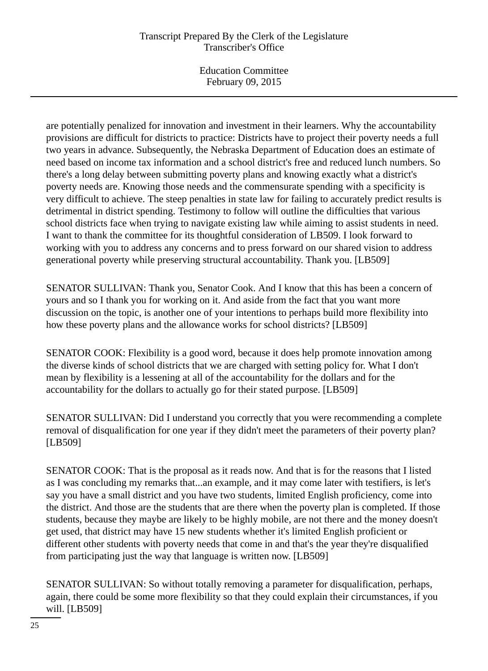Education Committee February 09, 2015

are potentially penalized for innovation and investment in their learners. Why the accountability provisions are difficult for districts to practice: Districts have to project their poverty needs a full two years in advance. Subsequently, the Nebraska Department of Education does an estimate of need based on income tax information and a school district's free and reduced lunch numbers. So there's a long delay between submitting poverty plans and knowing exactly what a district's poverty needs are. Knowing those needs and the commensurate spending with a specificity is very difficult to achieve. The steep penalties in state law for failing to accurately predict results is detrimental in district spending. Testimony to follow will outline the difficulties that various school districts face when trying to navigate existing law while aiming to assist students in need. I want to thank the committee for its thoughtful consideration of LB509. I look forward to working with you to address any concerns and to press forward on our shared vision to address generational poverty while preserving structural accountability. Thank you. [LB509]

SENATOR SULLIVAN: Thank you, Senator Cook. And I know that this has been a concern of yours and so I thank you for working on it. And aside from the fact that you want more discussion on the topic, is another one of your intentions to perhaps build more flexibility into how these poverty plans and the allowance works for school districts? [LB509]

SENATOR COOK: Flexibility is a good word, because it does help promote innovation among the diverse kinds of school districts that we are charged with setting policy for. What I don't mean by flexibility is a lessening at all of the accountability for the dollars and for the accountability for the dollars to actually go for their stated purpose. [LB509]

SENATOR SULLIVAN: Did I understand you correctly that you were recommending a complete removal of disqualification for one year if they didn't meet the parameters of their poverty plan? [LB509]

SENATOR COOK: That is the proposal as it reads now. And that is for the reasons that I listed as I was concluding my remarks that...an example, and it may come later with testifiers, is let's say you have a small district and you have two students, limited English proficiency, come into the district. And those are the students that are there when the poverty plan is completed. If those students, because they maybe are likely to be highly mobile, are not there and the money doesn't get used, that district may have 15 new students whether it's limited English proficient or different other students with poverty needs that come in and that's the year they're disqualified from participating just the way that language is written now. [LB509]

SENATOR SULLIVAN: So without totally removing a parameter for disqualification, perhaps, again, there could be some more flexibility so that they could explain their circumstances, if you will. [LB509]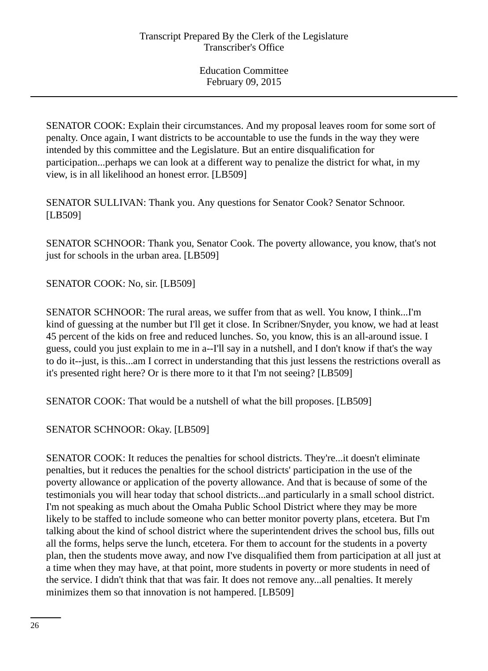SENATOR COOK: Explain their circumstances. And my proposal leaves room for some sort of penalty. Once again, I want districts to be accountable to use the funds in the way they were intended by this committee and the Legislature. But an entire disqualification for participation...perhaps we can look at a different way to penalize the district for what, in my view, is in all likelihood an honest error. [LB509]

SENATOR SULLIVAN: Thank you. Any questions for Senator Cook? Senator Schnoor. [LB509]

SENATOR SCHNOOR: Thank you, Senator Cook. The poverty allowance, you know, that's not just for schools in the urban area. [LB509]

SENATOR COOK: No, sir. [LB509]

SENATOR SCHNOOR: The rural areas, we suffer from that as well. You know, I think...I'm kind of guessing at the number but I'll get it close. In Scribner/Snyder, you know, we had at least 45 percent of the kids on free and reduced lunches. So, you know, this is an all-around issue. I guess, could you just explain to me in a--I'll say in a nutshell, and I don't know if that's the way to do it--just, is this...am I correct in understanding that this just lessens the restrictions overall as it's presented right here? Or is there more to it that I'm not seeing? [LB509]

SENATOR COOK: That would be a nutshell of what the bill proposes. [LB509]

SENATOR SCHNOOR: Okay. [LB509]

SENATOR COOK: It reduces the penalties for school districts. They're...it doesn't eliminate penalties, but it reduces the penalties for the school districts' participation in the use of the poverty allowance or application of the poverty allowance. And that is because of some of the testimonials you will hear today that school districts...and particularly in a small school district. I'm not speaking as much about the Omaha Public School District where they may be more likely to be staffed to include someone who can better monitor poverty plans, etcetera. But I'm talking about the kind of school district where the superintendent drives the school bus, fills out all the forms, helps serve the lunch, etcetera. For them to account for the students in a poverty plan, then the students move away, and now I've disqualified them from participation at all just at a time when they may have, at that point, more students in poverty or more students in need of the service. I didn't think that that was fair. It does not remove any...all penalties. It merely minimizes them so that innovation is not hampered. [LB509]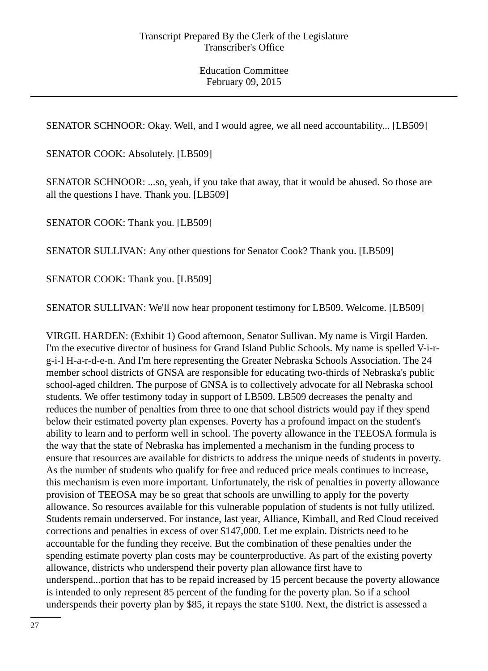SENATOR SCHNOOR: Okay. Well, and I would agree, we all need accountability... [LB509]

SENATOR COOK: Absolutely. [LB509]

SENATOR SCHNOOR: ...so, yeah, if you take that away, that it would be abused. So those are all the questions I have. Thank you. [LB509]

SENATOR COOK: Thank you. [LB509]

SENATOR SULLIVAN: Any other questions for Senator Cook? Thank you. [LB509]

SENATOR COOK: Thank you. [LB509]

SENATOR SULLIVAN: We'll now hear proponent testimony for LB509. Welcome. [LB509]

VIRGIL HARDEN: (Exhibit 1) Good afternoon, Senator Sullivan. My name is Virgil Harden. I'm the executive director of business for Grand Island Public Schools. My name is spelled V-i-rg-i-l H-a-r-d-e-n. And I'm here representing the Greater Nebraska Schools Association. The 24 member school districts of GNSA are responsible for educating two-thirds of Nebraska's public school-aged children. The purpose of GNSA is to collectively advocate for all Nebraska school students. We offer testimony today in support of LB509. LB509 decreases the penalty and reduces the number of penalties from three to one that school districts would pay if they spend below their estimated poverty plan expenses. Poverty has a profound impact on the student's ability to learn and to perform well in school. The poverty allowance in the TEEOSA formula is the way that the state of Nebraska has implemented a mechanism in the funding process to ensure that resources are available for districts to address the unique needs of students in poverty. As the number of students who qualify for free and reduced price meals continues to increase, this mechanism is even more important. Unfortunately, the risk of penalties in poverty allowance provision of TEEOSA may be so great that schools are unwilling to apply for the poverty allowance. So resources available for this vulnerable population of students is not fully utilized. Students remain underserved. For instance, last year, Alliance, Kimball, and Red Cloud received corrections and penalties in excess of over \$147,000. Let me explain. Districts need to be accountable for the funding they receive. But the combination of these penalties under the spending estimate poverty plan costs may be counterproductive. As part of the existing poverty allowance, districts who underspend their poverty plan allowance first have to underspend...portion that has to be repaid increased by 15 percent because the poverty allowance is intended to only represent 85 percent of the funding for the poverty plan. So if a school underspends their poverty plan by \$85, it repays the state \$100. Next, the district is assessed a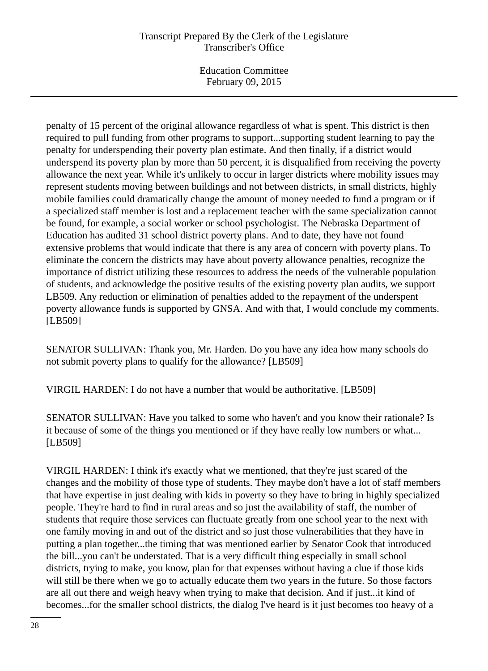Education Committee February 09, 2015

penalty of 15 percent of the original allowance regardless of what is spent. This district is then required to pull funding from other programs to support...supporting student learning to pay the penalty for underspending their poverty plan estimate. And then finally, if a district would underspend its poverty plan by more than 50 percent, it is disqualified from receiving the poverty allowance the next year. While it's unlikely to occur in larger districts where mobility issues may represent students moving between buildings and not between districts, in small districts, highly mobile families could dramatically change the amount of money needed to fund a program or if a specialized staff member is lost and a replacement teacher with the same specialization cannot be found, for example, a social worker or school psychologist. The Nebraska Department of Education has audited 31 school district poverty plans. And to date, they have not found extensive problems that would indicate that there is any area of concern with poverty plans. To eliminate the concern the districts may have about poverty allowance penalties, recognize the importance of district utilizing these resources to address the needs of the vulnerable population of students, and acknowledge the positive results of the existing poverty plan audits, we support LB509. Any reduction or elimination of penalties added to the repayment of the underspent poverty allowance funds is supported by GNSA. And with that, I would conclude my comments. [LB509]

SENATOR SULLIVAN: Thank you, Mr. Harden. Do you have any idea how many schools do not submit poverty plans to qualify for the allowance? [LB509]

VIRGIL HARDEN: I do not have a number that would be authoritative. [LB509]

SENATOR SULLIVAN: Have you talked to some who haven't and you know their rationale? Is it because of some of the things you mentioned or if they have really low numbers or what... [LB509]

VIRGIL HARDEN: I think it's exactly what we mentioned, that they're just scared of the changes and the mobility of those type of students. They maybe don't have a lot of staff members that have expertise in just dealing with kids in poverty so they have to bring in highly specialized people. They're hard to find in rural areas and so just the availability of staff, the number of students that require those services can fluctuate greatly from one school year to the next with one family moving in and out of the district and so just those vulnerabilities that they have in putting a plan together...the timing that was mentioned earlier by Senator Cook that introduced the bill...you can't be understated. That is a very difficult thing especially in small school districts, trying to make, you know, plan for that expenses without having a clue if those kids will still be there when we go to actually educate them two years in the future. So those factors are all out there and weigh heavy when trying to make that decision. And if just...it kind of becomes...for the smaller school districts, the dialog I've heard is it just becomes too heavy of a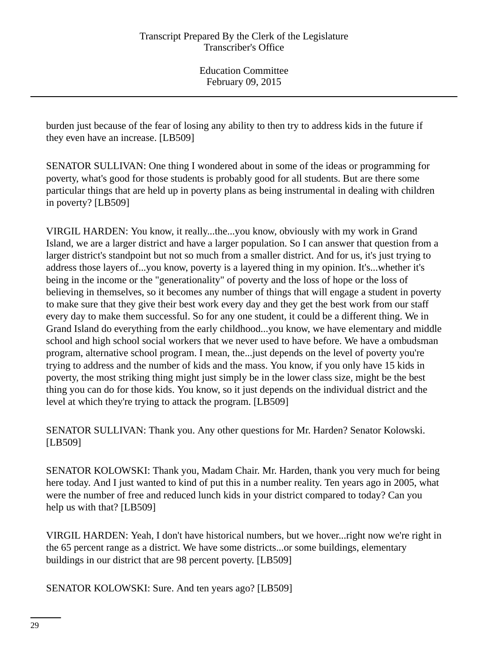burden just because of the fear of losing any ability to then try to address kids in the future if they even have an increase. [LB509]

SENATOR SULLIVAN: One thing I wondered about in some of the ideas or programming for poverty, what's good for those students is probably good for all students. But are there some particular things that are held up in poverty plans as being instrumental in dealing with children in poverty? [LB509]

VIRGIL HARDEN: You know, it really...the...you know, obviously with my work in Grand Island, we are a larger district and have a larger population. So I can answer that question from a larger district's standpoint but not so much from a smaller district. And for us, it's just trying to address those layers of...you know, poverty is a layered thing in my opinion. It's...whether it's being in the income or the "generationality" of poverty and the loss of hope or the loss of believing in themselves, so it becomes any number of things that will engage a student in poverty to make sure that they give their best work every day and they get the best work from our staff every day to make them successful. So for any one student, it could be a different thing. We in Grand Island do everything from the early childhood...you know, we have elementary and middle school and high school social workers that we never used to have before. We have a ombudsman program, alternative school program. I mean, the...just depends on the level of poverty you're trying to address and the number of kids and the mass. You know, if you only have 15 kids in poverty, the most striking thing might just simply be in the lower class size, might be the best thing you can do for those kids. You know, so it just depends on the individual district and the level at which they're trying to attack the program. [LB509]

SENATOR SULLIVAN: Thank you. Any other questions for Mr. Harden? Senator Kolowski. [LB509]

SENATOR KOLOWSKI: Thank you, Madam Chair. Mr. Harden, thank you very much for being here today. And I just wanted to kind of put this in a number reality. Ten years ago in 2005, what were the number of free and reduced lunch kids in your district compared to today? Can you help us with that? [LB509]

VIRGIL HARDEN: Yeah, I don't have historical numbers, but we hover...right now we're right in the 65 percent range as a district. We have some districts...or some buildings, elementary buildings in our district that are 98 percent poverty. [LB509]

SENATOR KOLOWSKI: Sure. And ten years ago? [LB509]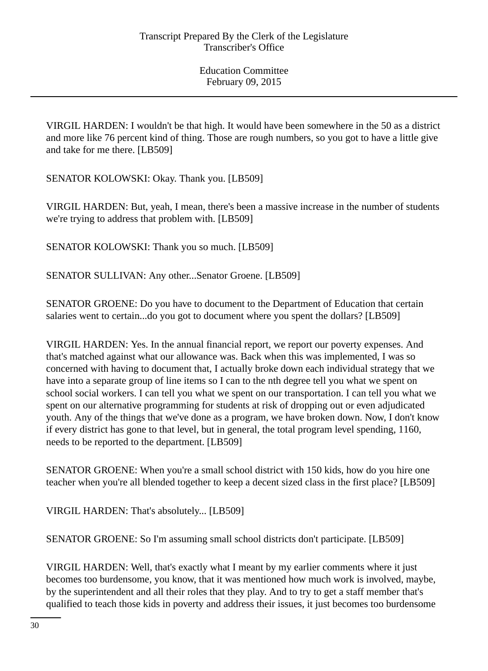VIRGIL HARDEN: I wouldn't be that high. It would have been somewhere in the 50 as a district and more like 76 percent kind of thing. Those are rough numbers, so you got to have a little give and take for me there. [LB509]

SENATOR KOLOWSKI: Okay. Thank you. [LB509]

VIRGIL HARDEN: But, yeah, I mean, there's been a massive increase in the number of students we're trying to address that problem with. [LB509]

SENATOR KOLOWSKI: Thank you so much. [LB509]

SENATOR SULLIVAN: Any other...Senator Groene. [LB509]

SENATOR GROENE: Do you have to document to the Department of Education that certain salaries went to certain...do you got to document where you spent the dollars? [LB509]

VIRGIL HARDEN: Yes. In the annual financial report, we report our poverty expenses. And that's matched against what our allowance was. Back when this was implemented, I was so concerned with having to document that, I actually broke down each individual strategy that we have into a separate group of line items so I can to the nth degree tell you what we spent on school social workers. I can tell you what we spent on our transportation. I can tell you what we spent on our alternative programming for students at risk of dropping out or even adjudicated youth. Any of the things that we've done as a program, we have broken down. Now, I don't know if every district has gone to that level, but in general, the total program level spending, 1160, needs to be reported to the department. [LB509]

SENATOR GROENE: When you're a small school district with 150 kids, how do you hire one teacher when you're all blended together to keep a decent sized class in the first place? [LB509]

VIRGIL HARDEN: That's absolutely... [LB509]

SENATOR GROENE: So I'm assuming small school districts don't participate. [LB509]

VIRGIL HARDEN: Well, that's exactly what I meant by my earlier comments where it just becomes too burdensome, you know, that it was mentioned how much work is involved, maybe, by the superintendent and all their roles that they play. And to try to get a staff member that's qualified to teach those kids in poverty and address their issues, it just becomes too burdensome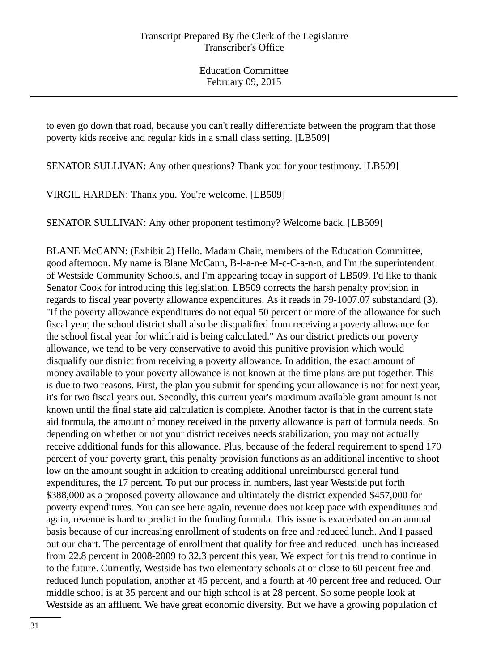to even go down that road, because you can't really differentiate between the program that those poverty kids receive and regular kids in a small class setting. [LB509]

SENATOR SULLIVAN: Any other questions? Thank you for your testimony. [LB509]

VIRGIL HARDEN: Thank you. You're welcome. [LB509]

SENATOR SULLIVAN: Any other proponent testimony? Welcome back. [LB509]

BLANE McCANN: (Exhibit 2) Hello. Madam Chair, members of the Education Committee, good afternoon. My name is Blane McCann, B-l-a-n-e M-c-C-a-n-n, and I'm the superintendent of Westside Community Schools, and I'm appearing today in support of LB509. I'd like to thank Senator Cook for introducing this legislation. LB509 corrects the harsh penalty provision in regards to fiscal year poverty allowance expenditures. As it reads in 79-1007.07 substandard (3), "If the poverty allowance expenditures do not equal 50 percent or more of the allowance for such fiscal year, the school district shall also be disqualified from receiving a poverty allowance for the school fiscal year for which aid is being calculated." As our district predicts our poverty allowance, we tend to be very conservative to avoid this punitive provision which would disqualify our district from receiving a poverty allowance. In addition, the exact amount of money available to your poverty allowance is not known at the time plans are put together. This is due to two reasons. First, the plan you submit for spending your allowance is not for next year, it's for two fiscal years out. Secondly, this current year's maximum available grant amount is not known until the final state aid calculation is complete. Another factor is that in the current state aid formula, the amount of money received in the poverty allowance is part of formula needs. So depending on whether or not your district receives needs stabilization, you may not actually receive additional funds for this allowance. Plus, because of the federal requirement to spend 170 percent of your poverty grant, this penalty provision functions as an additional incentive to shoot low on the amount sought in addition to creating additional unreimbursed general fund expenditures, the 17 percent. To put our process in numbers, last year Westside put forth \$388,000 as a proposed poverty allowance and ultimately the district expended \$457,000 for poverty expenditures. You can see here again, revenue does not keep pace with expenditures and again, revenue is hard to predict in the funding formula. This issue is exacerbated on an annual basis because of our increasing enrollment of students on free and reduced lunch. And I passed out our chart. The percentage of enrollment that qualify for free and reduced lunch has increased from 22.8 percent in 2008-2009 to 32.3 percent this year. We expect for this trend to continue in to the future. Currently, Westside has two elementary schools at or close to 60 percent free and reduced lunch population, another at 45 percent, and a fourth at 40 percent free and reduced. Our middle school is at 35 percent and our high school is at 28 percent. So some people look at Westside as an affluent. We have great economic diversity. But we have a growing population of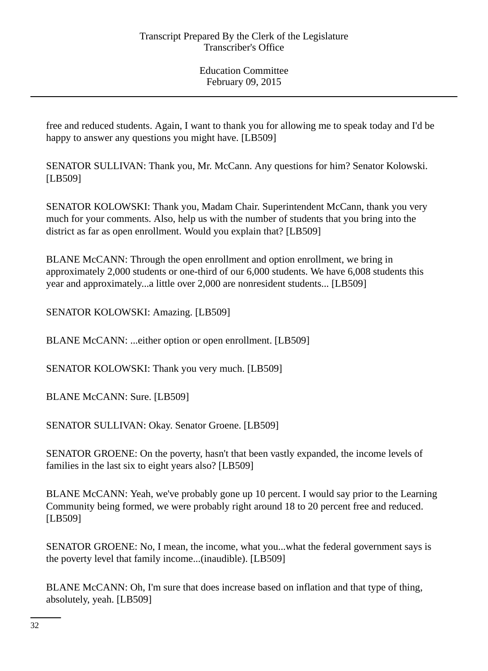free and reduced students. Again, I want to thank you for allowing me to speak today and I'd be happy to answer any questions you might have. [LB509]

SENATOR SULLIVAN: Thank you, Mr. McCann. Any questions for him? Senator Kolowski. [LB509]

SENATOR KOLOWSKI: Thank you, Madam Chair. Superintendent McCann, thank you very much for your comments. Also, help us with the number of students that you bring into the district as far as open enrollment. Would you explain that? [LB509]

BLANE McCANN: Through the open enrollment and option enrollment, we bring in approximately 2,000 students or one-third of our 6,000 students. We have 6,008 students this year and approximately...a little over 2,000 are nonresident students... [LB509]

SENATOR KOLOWSKI: Amazing. [LB509]

BLANE McCANN: ...either option or open enrollment. [LB509]

SENATOR KOLOWSKI: Thank you very much. [LB509]

BLANE McCANN: Sure. [LB509]

SENATOR SULLIVAN: Okay. Senator Groene. [LB509]

SENATOR GROENE: On the poverty, hasn't that been vastly expanded, the income levels of families in the last six to eight years also? [LB509]

BLANE McCANN: Yeah, we've probably gone up 10 percent. I would say prior to the Learning Community being formed, we were probably right around 18 to 20 percent free and reduced. [LB509]

SENATOR GROENE: No, I mean, the income, what you...what the federal government says is the poverty level that family income...(inaudible). [LB509]

BLANE McCANN: Oh, I'm sure that does increase based on inflation and that type of thing, absolutely, yeah. [LB509]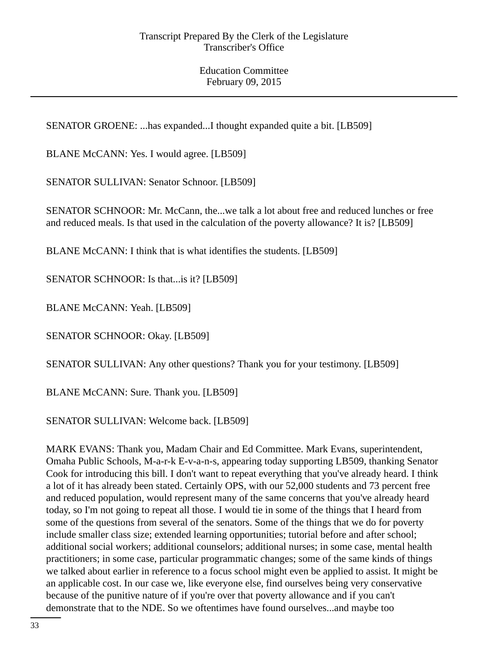SENATOR GROENE: ...has expanded...I thought expanded quite a bit. [LB509]

BLANE McCANN: Yes. I would agree. [LB509]

SENATOR SULLIVAN: Senator Schnoor. [LB509]

SENATOR SCHNOOR: Mr. McCann, the...we talk a lot about free and reduced lunches or free and reduced meals. Is that used in the calculation of the poverty allowance? It is? [LB509]

BLANE McCANN: I think that is what identifies the students. [LB509]

SENATOR SCHNOOR: Is that...is it? [LB509]

BLANE McCANN: Yeah. [LB509]

SENATOR SCHNOOR: Okay. [LB509]

SENATOR SULLIVAN: Any other questions? Thank you for your testimony. [LB509]

BLANE McCANN: Sure. Thank you. [LB509]

SENATOR SULLIVAN: Welcome back. [LB509]

MARK EVANS: Thank you, Madam Chair and Ed Committee. Mark Evans, superintendent, Omaha Public Schools, M-a-r-k E-v-a-n-s, appearing today supporting LB509, thanking Senator Cook for introducing this bill. I don't want to repeat everything that you've already heard. I think a lot of it has already been stated. Certainly OPS, with our 52,000 students and 73 percent free and reduced population, would represent many of the same concerns that you've already heard today, so I'm not going to repeat all those. I would tie in some of the things that I heard from some of the questions from several of the senators. Some of the things that we do for poverty include smaller class size; extended learning opportunities; tutorial before and after school; additional social workers; additional counselors; additional nurses; in some case, mental health practitioners; in some case, particular programmatic changes; some of the same kinds of things we talked about earlier in reference to a focus school might even be applied to assist. It might be an applicable cost. In our case we, like everyone else, find ourselves being very conservative because of the punitive nature of if you're over that poverty allowance and if you can't demonstrate that to the NDE. So we oftentimes have found ourselves...and maybe too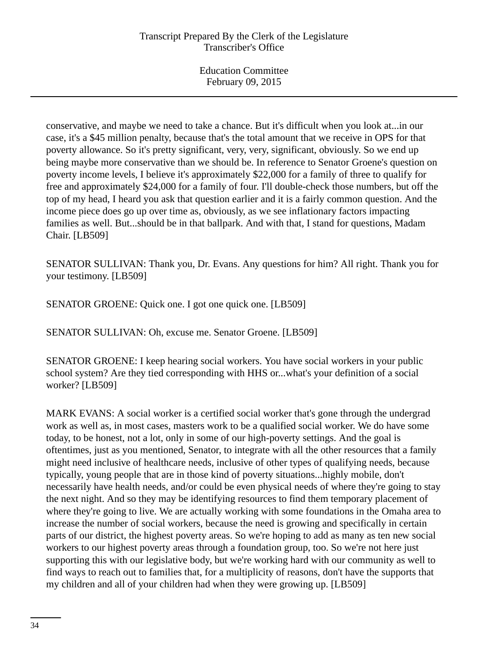conservative, and maybe we need to take a chance. But it's difficult when you look at...in our case, it's a \$45 million penalty, because that's the total amount that we receive in OPS for that poverty allowance. So it's pretty significant, very, very, significant, obviously. So we end up being maybe more conservative than we should be. In reference to Senator Groene's question on poverty income levels, I believe it's approximately \$22,000 for a family of three to qualify for free and approximately \$24,000 for a family of four. I'll double-check those numbers, but off the top of my head, I heard you ask that question earlier and it is a fairly common question. And the income piece does go up over time as, obviously, as we see inflationary factors impacting families as well. But...should be in that ballpark. And with that, I stand for questions, Madam Chair. [LB509]

SENATOR SULLIVAN: Thank you, Dr. Evans. Any questions for him? All right. Thank you for your testimony. [LB509]

SENATOR GROENE: Quick one. I got one quick one. [LB509]

SENATOR SULLIVAN: Oh, excuse me. Senator Groene. [LB509]

SENATOR GROENE: I keep hearing social workers. You have social workers in your public school system? Are they tied corresponding with HHS or...what's your definition of a social worker? [LB509]

MARK EVANS: A social worker is a certified social worker that's gone through the undergrad work as well as, in most cases, masters work to be a qualified social worker. We do have some today, to be honest, not a lot, only in some of our high-poverty settings. And the goal is oftentimes, just as you mentioned, Senator, to integrate with all the other resources that a family might need inclusive of healthcare needs, inclusive of other types of qualifying needs, because typically, young people that are in those kind of poverty situations...highly mobile, don't necessarily have health needs, and/or could be even physical needs of where they're going to stay the next night. And so they may be identifying resources to find them temporary placement of where they're going to live. We are actually working with some foundations in the Omaha area to increase the number of social workers, because the need is growing and specifically in certain parts of our district, the highest poverty areas. So we're hoping to add as many as ten new social workers to our highest poverty areas through a foundation group, too. So we're not here just supporting this with our legislative body, but we're working hard with our community as well to find ways to reach out to families that, for a multiplicity of reasons, don't have the supports that my children and all of your children had when they were growing up. [LB509]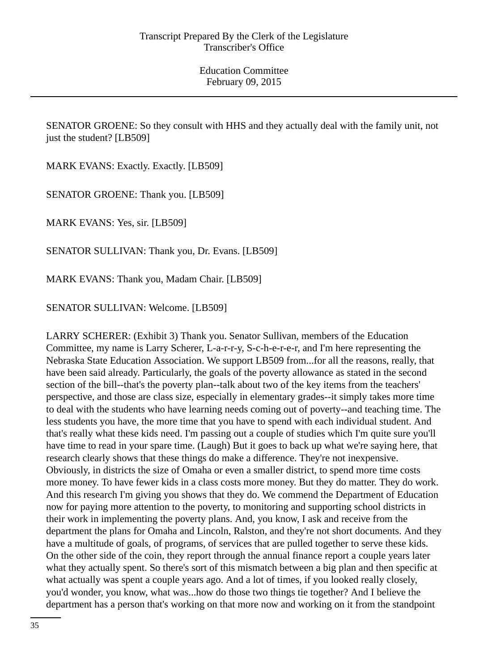SENATOR GROENE: So they consult with HHS and they actually deal with the family unit, not just the student? [LB509]

MARK EVANS: Exactly. Exactly. [LB509]

SENATOR GROENE: Thank you. [LB509]

MARK EVANS: Yes, sir. [LB509]

SENATOR SULLIVAN: Thank you, Dr. Evans. [LB509]

MARK EVANS: Thank you, Madam Chair. [LB509]

SENATOR SULLIVAN: Welcome. [LB509]

LARRY SCHERER: (Exhibit 3) Thank you. Senator Sullivan, members of the Education Committee, my name is Larry Scherer, L-a-r-r-y, S-c-h-e-r-e-r, and I'm here representing the Nebraska State Education Association. We support LB509 from...for all the reasons, really, that have been said already. Particularly, the goals of the poverty allowance as stated in the second section of the bill--that's the poverty plan--talk about two of the key items from the teachers' perspective, and those are class size, especially in elementary grades--it simply takes more time to deal with the students who have learning needs coming out of poverty--and teaching time. The less students you have, the more time that you have to spend with each individual student. And that's really what these kids need. I'm passing out a couple of studies which I'm quite sure you'll have time to read in your spare time. (Laugh) But it goes to back up what we're saying here, that research clearly shows that these things do make a difference. They're not inexpensive. Obviously, in districts the size of Omaha or even a smaller district, to spend more time costs more money. To have fewer kids in a class costs more money. But they do matter. They do work. And this research I'm giving you shows that they do. We commend the Department of Education now for paying more attention to the poverty, to monitoring and supporting school districts in their work in implementing the poverty plans. And, you know, I ask and receive from the department the plans for Omaha and Lincoln, Ralston, and they're not short documents. And they have a multitude of goals, of programs, of services that are pulled together to serve these kids. On the other side of the coin, they report through the annual finance report a couple years later what they actually spent. So there's sort of this mismatch between a big plan and then specific at what actually was spent a couple years ago. And a lot of times, if you looked really closely, you'd wonder, you know, what was...how do those two things tie together? And I believe the department has a person that's working on that more now and working on it from the standpoint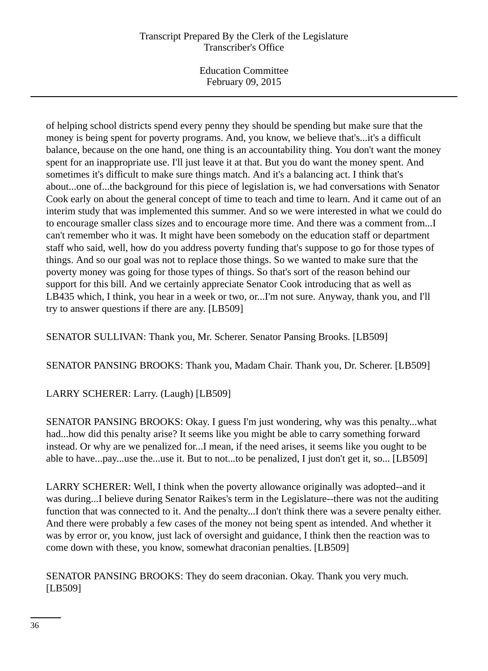Education Committee February 09, 2015

of helping school districts spend every penny they should be spending but make sure that the money is being spent for poverty programs. And, you know, we believe that's...it's a difficult balance, because on the one hand, one thing is an accountability thing. You don't want the money spent for an inappropriate use. I'll just leave it at that. But you do want the money spent. And sometimes it's difficult to make sure things match. And it's a balancing act. I think that's about...one of...the background for this piece of legislation is, we had conversations with Senator Cook early on about the general concept of time to teach and time to learn. And it came out of an interim study that was implemented this summer. And so we were interested in what we could do to encourage smaller class sizes and to encourage more time. And there was a comment from...I can't remember who it was. It might have been somebody on the education staff or department staff who said, well, how do you address poverty funding that's suppose to go for those types of things. And so our goal was not to replace those things. So we wanted to make sure that the poverty money was going for those types of things. So that's sort of the reason behind our support for this bill. And we certainly appreciate Senator Cook introducing that as well as LB435 which, I think, you hear in a week or two, or...I'm not sure. Anyway, thank you, and I'll try to answer questions if there are any. [LB509]

SENATOR SULLIVAN: Thank you, Mr. Scherer. Senator Pansing Brooks. [LB509]

SENATOR PANSING BROOKS: Thank you, Madam Chair. Thank you, Dr. Scherer. [LB509]

# LARRY SCHERER: Larry. (Laugh) [LB509]

SENATOR PANSING BROOKS: Okay. I guess I'm just wondering, why was this penalty...what had...how did this penalty arise? It seems like you might be able to carry something forward instead. Or why are we penalized for...I mean, if the need arises, it seems like you ought to be able to have...pay...use the...use it. But to not...to be penalized, I just don't get it, so... [LB509]

LARRY SCHERER: Well, I think when the poverty allowance originally was adopted--and it was during...I believe during Senator Raikes's term in the Legislature--there was not the auditing function that was connected to it. And the penalty...I don't think there was a severe penalty either. And there were probably a few cases of the money not being spent as intended. And whether it was by error or, you know, just lack of oversight and guidance, I think then the reaction was to come down with these, you know, somewhat draconian penalties. [LB509]

SENATOR PANSING BROOKS: They do seem draconian. Okay. Thank you very much. [LB509]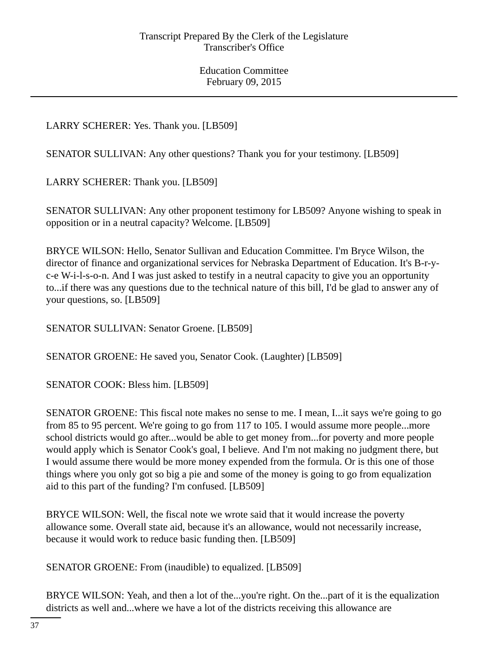LARRY SCHERER: Yes. Thank you. [LB509]

SENATOR SULLIVAN: Any other questions? Thank you for your testimony. [LB509]

LARRY SCHERER: Thank you. [LB509]

SENATOR SULLIVAN: Any other proponent testimony for LB509? Anyone wishing to speak in opposition or in a neutral capacity? Welcome. [LB509]

BRYCE WILSON: Hello, Senator Sullivan and Education Committee. I'm Bryce Wilson, the director of finance and organizational services for Nebraska Department of Education. It's B-r-yc-e W-i-l-s-o-n. And I was just asked to testify in a neutral capacity to give you an opportunity to...if there was any questions due to the technical nature of this bill, I'd be glad to answer any of your questions, so. [LB509]

SENATOR SULLIVAN: Senator Groene. [LB509]

SENATOR GROENE: He saved you, Senator Cook. (Laughter) [LB509]

SENATOR COOK: Bless him. [LB509]

SENATOR GROENE: This fiscal note makes no sense to me. I mean, I...it says we're going to go from 85 to 95 percent. We're going to go from 117 to 105. I would assume more people...more school districts would go after...would be able to get money from...for poverty and more people would apply which is Senator Cook's goal, I believe. And I'm not making no judgment there, but I would assume there would be more money expended from the formula. Or is this one of those things where you only got so big a pie and some of the money is going to go from equalization aid to this part of the funding? I'm confused. [LB509]

BRYCE WILSON: Well, the fiscal note we wrote said that it would increase the poverty allowance some. Overall state aid, because it's an allowance, would not necessarily increase, because it would work to reduce basic funding then. [LB509]

SENATOR GROENE: From (inaudible) to equalized. [LB509]

BRYCE WILSON: Yeah, and then a lot of the...you're right. On the...part of it is the equalization districts as well and...where we have a lot of the districts receiving this allowance are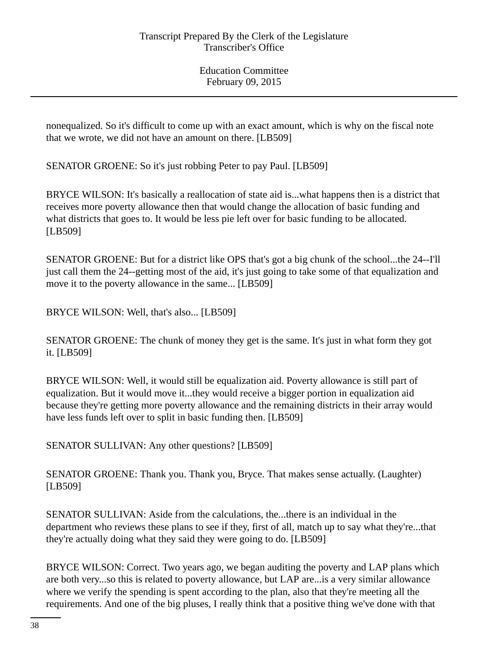nonequalized. So it's difficult to come up with an exact amount, which is why on the fiscal note that we wrote, we did not have an amount on there. [LB509]

SENATOR GROENE: So it's just robbing Peter to pay Paul. [LB509]

BRYCE WILSON: It's basically a reallocation of state aid is...what happens then is a district that receives more poverty allowance then that would change the allocation of basic funding and what districts that goes to. It would be less pie left over for basic funding to be allocated. [LB509]

SENATOR GROENE: But for a district like OPS that's got a big chunk of the school...the 24--I'll just call them the 24--getting most of the aid, it's just going to take some of that equalization and move it to the poverty allowance in the same... [LB509]

BRYCE WILSON: Well, that's also... [LB509]

SENATOR GROENE: The chunk of money they get is the same. It's just in what form they got it. [LB509]

BRYCE WILSON: Well, it would still be equalization aid. Poverty allowance is still part of equalization. But it would move it...they would receive a bigger portion in equalization aid because they're getting more poverty allowance and the remaining districts in their array would have less funds left over to split in basic funding then. [LB509]

SENATOR SULLIVAN: Any other questions? [LB509]

SENATOR GROENE: Thank you. Thank you, Bryce. That makes sense actually. (Laughter) [LB509]

SENATOR SULLIVAN: Aside from the calculations, the...there is an individual in the department who reviews these plans to see if they, first of all, match up to say what they're...that they're actually doing what they said they were going to do. [LB509]

BRYCE WILSON: Correct. Two years ago, we began auditing the poverty and LAP plans which are both very...so this is related to poverty allowance, but LAP are...is a very similar allowance where we verify the spending is spent according to the plan, also that they're meeting all the requirements. And one of the big pluses, I really think that a positive thing we've done with that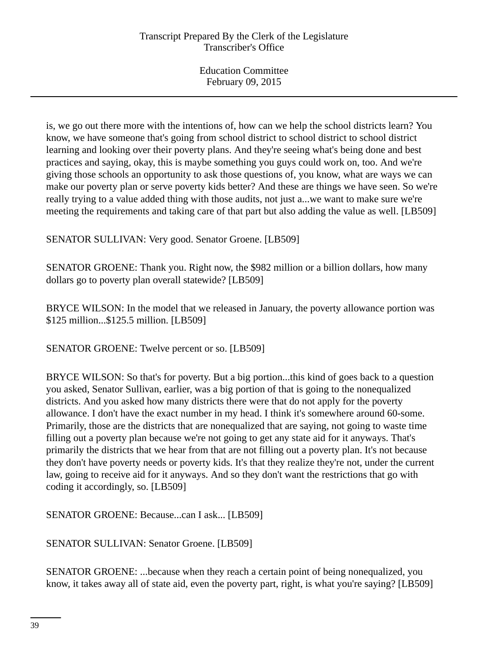is, we go out there more with the intentions of, how can we help the school districts learn? You know, we have someone that's going from school district to school district to school district learning and looking over their poverty plans. And they're seeing what's being done and best practices and saying, okay, this is maybe something you guys could work on, too. And we're giving those schools an opportunity to ask those questions of, you know, what are ways we can make our poverty plan or serve poverty kids better? And these are things we have seen. So we're really trying to a value added thing with those audits, not just a...we want to make sure we're meeting the requirements and taking care of that part but also adding the value as well. [LB509]

SENATOR SULLIVAN: Very good. Senator Groene. [LB509]

SENATOR GROENE: Thank you. Right now, the \$982 million or a billion dollars, how many dollars go to poverty plan overall statewide? [LB509]

BRYCE WILSON: In the model that we released in January, the poverty allowance portion was \$125 million...\$125.5 million. [LB509]

SENATOR GROENE: Twelve percent or so. [LB509]

BRYCE WILSON: So that's for poverty. But a big portion...this kind of goes back to a question you asked, Senator Sullivan, earlier, was a big portion of that is going to the nonequalized districts. And you asked how many districts there were that do not apply for the poverty allowance. I don't have the exact number in my head. I think it's somewhere around 60-some. Primarily, those are the districts that are nonequalized that are saying, not going to waste time filling out a poverty plan because we're not going to get any state aid for it anyways. That's primarily the districts that we hear from that are not filling out a poverty plan. It's not because they don't have poverty needs or poverty kids. It's that they realize they're not, under the current law, going to receive aid for it anyways. And so they don't want the restrictions that go with coding it accordingly, so. [LB509]

SENATOR GROENE: Because...can I ask... [LB509]

SENATOR SULLIVAN: Senator Groene. [LB509]

SENATOR GROENE: ...because when they reach a certain point of being nonequalized, you know, it takes away all of state aid, even the poverty part, right, is what you're saying? [LB509]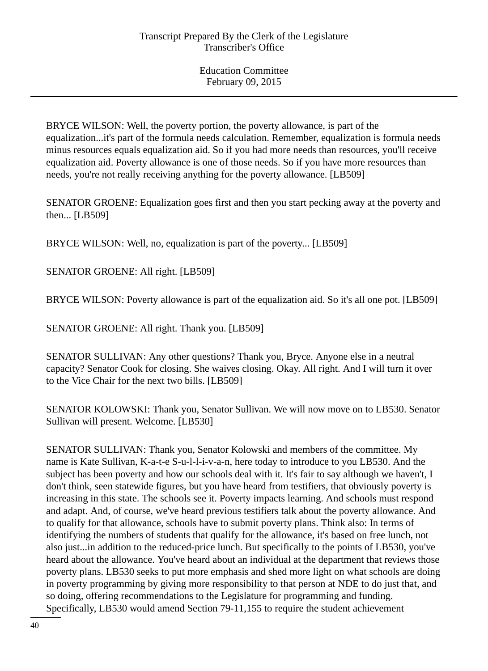BRYCE WILSON: Well, the poverty portion, the poverty allowance, is part of the equalization...it's part of the formula needs calculation. Remember, equalization is formula needs minus resources equals equalization aid. So if you had more needs than resources, you'll receive equalization aid. Poverty allowance is one of those needs. So if you have more resources than needs, you're not really receiving anything for the poverty allowance. [LB509]

SENATOR GROENE: Equalization goes first and then you start pecking away at the poverty and then... [LB509]

BRYCE WILSON: Well, no, equalization is part of the poverty... [LB509]

SENATOR GROENE: All right. [LB509]

BRYCE WILSON: Poverty allowance is part of the equalization aid. So it's all one pot. [LB509]

SENATOR GROENE: All right. Thank you. [LB509]

SENATOR SULLIVAN: Any other questions? Thank you, Bryce. Anyone else in a neutral capacity? Senator Cook for closing. She waives closing. Okay. All right. And I will turn it over to the Vice Chair for the next two bills. [LB509]

SENATOR KOLOWSKI: Thank you, Senator Sullivan. We will now move on to LB530. Senator Sullivan will present. Welcome. [LB530]

SENATOR SULLIVAN: Thank you, Senator Kolowski and members of the committee. My name is Kate Sullivan, K-a-t-e S-u-l-l-i-v-a-n, here today to introduce to you LB530. And the subject has been poverty and how our schools deal with it. It's fair to say although we haven't, I don't think, seen statewide figures, but you have heard from testifiers, that obviously poverty is increasing in this state. The schools see it. Poverty impacts learning. And schools must respond and adapt. And, of course, we've heard previous testifiers talk about the poverty allowance. And to qualify for that allowance, schools have to submit poverty plans. Think also: In terms of identifying the numbers of students that qualify for the allowance, it's based on free lunch, not also just...in addition to the reduced-price lunch. But specifically to the points of LB530, you've heard about the allowance. You've heard about an individual at the department that reviews those poverty plans. LB530 seeks to put more emphasis and shed more light on what schools are doing in poverty programming by giving more responsibility to that person at NDE to do just that, and so doing, offering recommendations to the Legislature for programming and funding. Specifically, LB530 would amend Section 79-11,155 to require the student achievement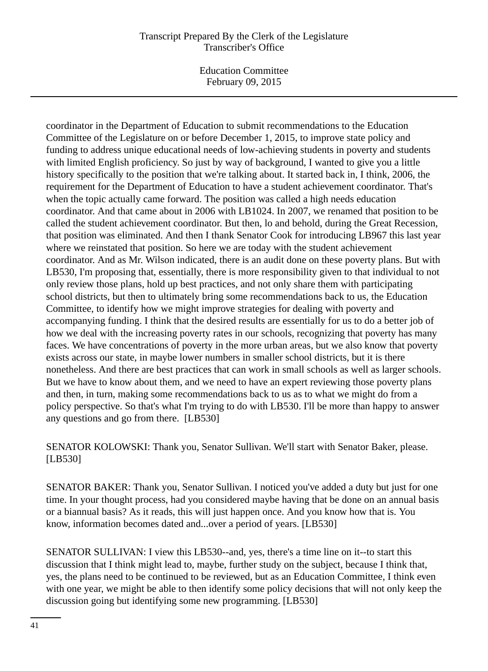Education Committee February 09, 2015

coordinator in the Department of Education to submit recommendations to the Education Committee of the Legislature on or before December 1, 2015, to improve state policy and funding to address unique educational needs of low-achieving students in poverty and students with limited English proficiency. So just by way of background, I wanted to give you a little history specifically to the position that we're talking about. It started back in, I think, 2006, the requirement for the Department of Education to have a student achievement coordinator. That's when the topic actually came forward. The position was called a high needs education coordinator. And that came about in 2006 with LB1024. In 2007, we renamed that position to be called the student achievement coordinator. But then, lo and behold, during the Great Recession, that position was eliminated. And then I thank Senator Cook for introducing LB967 this last year where we reinstated that position. So here we are today with the student achievement coordinator. And as Mr. Wilson indicated, there is an audit done on these poverty plans. But with LB530, I'm proposing that, essentially, there is more responsibility given to that individual to not only review those plans, hold up best practices, and not only share them with participating school districts, but then to ultimately bring some recommendations back to us, the Education Committee, to identify how we might improve strategies for dealing with poverty and accompanying funding. I think that the desired results are essentially for us to do a better job of how we deal with the increasing poverty rates in our schools, recognizing that poverty has many faces. We have concentrations of poverty in the more urban areas, but we also know that poverty exists across our state, in maybe lower numbers in smaller school districts, but it is there nonetheless. And there are best practices that can work in small schools as well as larger schools. But we have to know about them, and we need to have an expert reviewing those poverty plans and then, in turn, making some recommendations back to us as to what we might do from a policy perspective. So that's what I'm trying to do with LB530. I'll be more than happy to answer any questions and go from there. [LB530]

SENATOR KOLOWSKI: Thank you, Senator Sullivan. We'll start with Senator Baker, please. [LB530]

SENATOR BAKER: Thank you, Senator Sullivan. I noticed you've added a duty but just for one time. In your thought process, had you considered maybe having that be done on an annual basis or a biannual basis? As it reads, this will just happen once. And you know how that is. You know, information becomes dated and...over a period of years. [LB530]

SENATOR SULLIVAN: I view this LB530--and, yes, there's a time line on it--to start this discussion that I think might lead to, maybe, further study on the subject, because I think that, yes, the plans need to be continued to be reviewed, but as an Education Committee, I think even with one year, we might be able to then identify some policy decisions that will not only keep the discussion going but identifying some new programming. [LB530]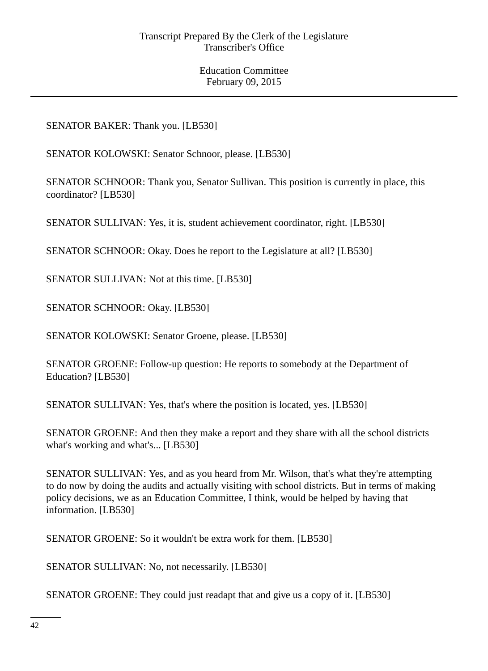## SENATOR BAKER: Thank you. [LB530]

SENATOR KOLOWSKI: Senator Schnoor, please. [LB530]

SENATOR SCHNOOR: Thank you, Senator Sullivan. This position is currently in place, this coordinator? [LB530]

SENATOR SULLIVAN: Yes, it is, student achievement coordinator, right. [LB530]

SENATOR SCHNOOR: Okay. Does he report to the Legislature at all? [LB530]

SENATOR SULLIVAN: Not at this time. [LB530]

SENATOR SCHNOOR: Okay. [LB530]

SENATOR KOLOWSKI: Senator Groene, please. [LB530]

SENATOR GROENE: Follow-up question: He reports to somebody at the Department of Education? [LB530]

SENATOR SULLIVAN: Yes, that's where the position is located, yes. [LB530]

SENATOR GROENE: And then they make a report and they share with all the school districts what's working and what's... [LB530]

SENATOR SULLIVAN: Yes, and as you heard from Mr. Wilson, that's what they're attempting to do now by doing the audits and actually visiting with school districts. But in terms of making policy decisions, we as an Education Committee, I think, would be helped by having that information. [LB530]

SENATOR GROENE: So it wouldn't be extra work for them. [LB530]

SENATOR SULLIVAN: No, not necessarily. [LB530]

SENATOR GROENE: They could just readapt that and give us a copy of it. [LB530]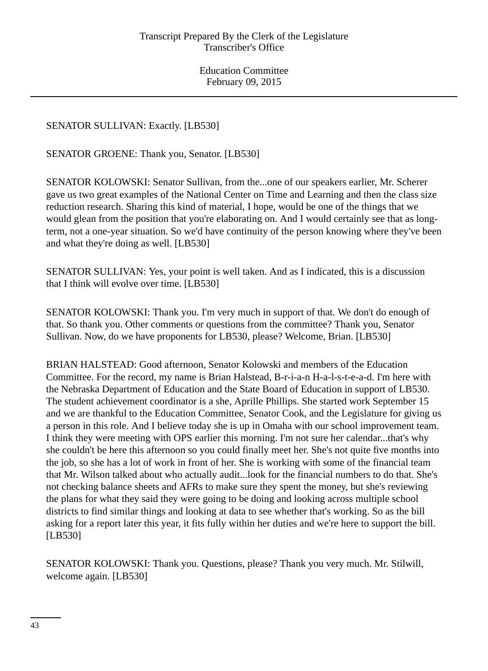SENATOR SULLIVAN: Exactly. [LB530]

SENATOR GROENE: Thank you, Senator. [LB530]

SENATOR KOLOWSKI: Senator Sullivan, from the...one of our speakers earlier, Mr. Scherer gave us two great examples of the National Center on Time and Learning and then the class size reduction research. Sharing this kind of material, I hope, would be one of the things that we would glean from the position that you're elaborating on. And I would certainly see that as longterm, not a one-year situation. So we'd have continuity of the person knowing where they've been and what they're doing as well. [LB530]

SENATOR SULLIVAN: Yes, your point is well taken. And as I indicated, this is a discussion that I think will evolve over time. [LB530]

SENATOR KOLOWSKI: Thank you. I'm very much in support of that. We don't do enough of that. So thank you. Other comments or questions from the committee? Thank you, Senator Sullivan. Now, do we have proponents for LB530, please? Welcome, Brian. [LB530]

BRIAN HALSTEAD: Good afternoon, Senator Kolowski and members of the Education Committee. For the record, my name is Brian Halstead, B-r-i-a-n H-a-l-s-t-e-a-d. I'm here with the Nebraska Department of Education and the State Board of Education in support of LB530. The student achievement coordinator is a she, Aprille Phillips. She started work September 15 and we are thankful to the Education Committee, Senator Cook, and the Legislature for giving us a person in this role. And I believe today she is up in Omaha with our school improvement team. I think they were meeting with OPS earlier this morning. I'm not sure her calendar...that's why she couldn't be here this afternoon so you could finally meet her. She's not quite five months into the job, so she has a lot of work in front of her. She is working with some of the financial team that Mr. Wilson talked about who actually audit...look for the financial numbers to do that. She's not checking balance sheets and AFRs to make sure they spent the money, but she's reviewing the plans for what they said they were going to be doing and looking across multiple school districts to find similar things and looking at data to see whether that's working. So as the bill asking for a report later this year, it fits fully within her duties and we're here to support the bill. [LB530]

SENATOR KOLOWSKI: Thank you. Questions, please? Thank you very much. Mr. Stilwill, welcome again. [LB530]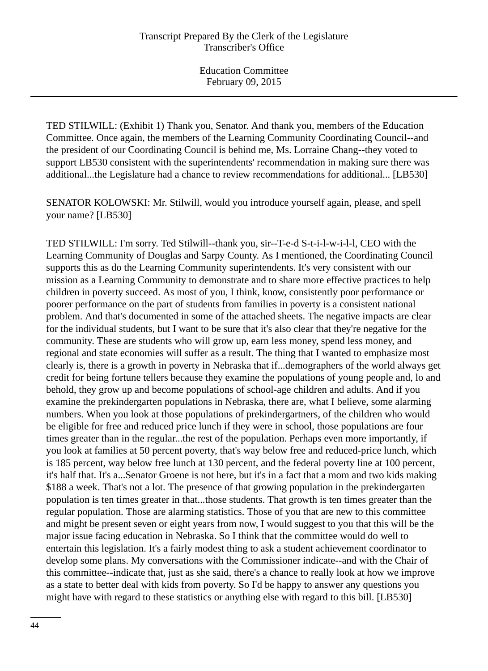TED STILWILL: (Exhibit 1) Thank you, Senator. And thank you, members of the Education Committee. Once again, the members of the Learning Community Coordinating Council--and the president of our Coordinating Council is behind me, Ms. Lorraine Chang--they voted to support LB530 consistent with the superintendents' recommendation in making sure there was additional...the Legislature had a chance to review recommendations for additional... [LB530]

SENATOR KOLOWSKI: Mr. Stilwill, would you introduce yourself again, please, and spell your name? [LB530]

TED STILWILL: I'm sorry. Ted Stilwill--thank you, sir--T-e-d S-t-i-l-w-i-l-l, CEO with the Learning Community of Douglas and Sarpy County. As I mentioned, the Coordinating Council supports this as do the Learning Community superintendents. It's very consistent with our mission as a Learning Community to demonstrate and to share more effective practices to help children in poverty succeed. As most of you, I think, know, consistently poor performance or poorer performance on the part of students from families in poverty is a consistent national problem. And that's documented in some of the attached sheets. The negative impacts are clear for the individual students, but I want to be sure that it's also clear that they're negative for the community. These are students who will grow up, earn less money, spend less money, and regional and state economies will suffer as a result. The thing that I wanted to emphasize most clearly is, there is a growth in poverty in Nebraska that if...demographers of the world always get credit for being fortune tellers because they examine the populations of young people and, lo and behold, they grow up and become populations of school-age children and adults. And if you examine the prekindergarten populations in Nebraska, there are, what I believe, some alarming numbers. When you look at those populations of prekindergartners, of the children who would be eligible for free and reduced price lunch if they were in school, those populations are four times greater than in the regular...the rest of the population. Perhaps even more importantly, if you look at families at 50 percent poverty, that's way below free and reduced-price lunch, which is 185 percent, way below free lunch at 130 percent, and the federal poverty line at 100 percent, it's half that. It's a...Senator Groene is not here, but it's in a fact that a mom and two kids making \$188 a week. That's not a lot. The presence of that growing population in the prekindergarten population is ten times greater in that...those students. That growth is ten times greater than the regular population. Those are alarming statistics. Those of you that are new to this committee and might be present seven or eight years from now, I would suggest to you that this will be the major issue facing education in Nebraska. So I think that the committee would do well to entertain this legislation. It's a fairly modest thing to ask a student achievement coordinator to develop some plans. My conversations with the Commissioner indicate--and with the Chair of this committee--indicate that, just as she said, there's a chance to really look at how we improve as a state to better deal with kids from poverty. So I'd be happy to answer any questions you might have with regard to these statistics or anything else with regard to this bill. [LB530]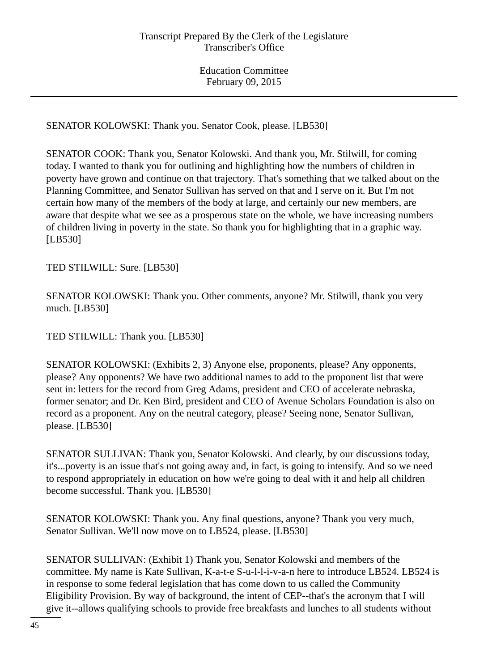SENATOR KOLOWSKI: Thank you. Senator Cook, please. [LB530]

SENATOR COOK: Thank you, Senator Kolowski. And thank you, Mr. Stilwill, for coming today. I wanted to thank you for outlining and highlighting how the numbers of children in poverty have grown and continue on that trajectory. That's something that we talked about on the Planning Committee, and Senator Sullivan has served on that and I serve on it. But I'm not certain how many of the members of the body at large, and certainly our new members, are aware that despite what we see as a prosperous state on the whole, we have increasing numbers of children living in poverty in the state. So thank you for highlighting that in a graphic way. [LB530]

TED STILWILL: Sure. [LB530]

SENATOR KOLOWSKI: Thank you. Other comments, anyone? Mr. Stilwill, thank you very much. [LB530]

TED STILWILL: Thank you. [LB530]

SENATOR KOLOWSKI: (Exhibits 2, 3) Anyone else, proponents, please? Any opponents, please? Any opponents? We have two additional names to add to the proponent list that were sent in: letters for the record from Greg Adams, president and CEO of accelerate nebraska, former senator; and Dr. Ken Bird, president and CEO of Avenue Scholars Foundation is also on record as a proponent. Any on the neutral category, please? Seeing none, Senator Sullivan, please. [LB530]

SENATOR SULLIVAN: Thank you, Senator Kolowski. And clearly, by our discussions today, it's...poverty is an issue that's not going away and, in fact, is going to intensify. And so we need to respond appropriately in education on how we're going to deal with it and help all children become successful. Thank you. [LB530]

SENATOR KOLOWSKI: Thank you. Any final questions, anyone? Thank you very much, Senator Sullivan. We'll now move on to LB524, please. [LB530]

SENATOR SULLIVAN: (Exhibit 1) Thank you, Senator Kolowski and members of the committee. My name is Kate Sullivan, K-a-t-e S-u-l-l-i-v-a-n here to introduce LB524. LB524 is in response to some federal legislation that has come down to us called the Community Eligibility Provision. By way of background, the intent of CEP--that's the acronym that I will give it--allows qualifying schools to provide free breakfasts and lunches to all students without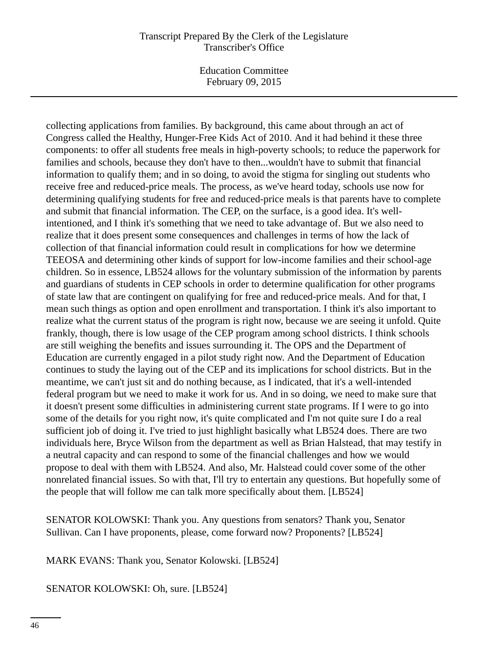Education Committee February 09, 2015

collecting applications from families. By background, this came about through an act of Congress called the Healthy, Hunger-Free Kids Act of 2010. And it had behind it these three components: to offer all students free meals in high-poverty schools; to reduce the paperwork for families and schools, because they don't have to then...wouldn't have to submit that financial information to qualify them; and in so doing, to avoid the stigma for singling out students who receive free and reduced-price meals. The process, as we've heard today, schools use now for determining qualifying students for free and reduced-price meals is that parents have to complete and submit that financial information. The CEP, on the surface, is a good idea. It's wellintentioned, and I think it's something that we need to take advantage of. But we also need to realize that it does present some consequences and challenges in terms of how the lack of collection of that financial information could result in complications for how we determine TEEOSA and determining other kinds of support for low-income families and their school-age children. So in essence, LB524 allows for the voluntary submission of the information by parents and guardians of students in CEP schools in order to determine qualification for other programs of state law that are contingent on qualifying for free and reduced-price meals. And for that, I mean such things as option and open enrollment and transportation. I think it's also important to realize what the current status of the program is right now, because we are seeing it unfold. Quite frankly, though, there is low usage of the CEP program among school districts. I think schools are still weighing the benefits and issues surrounding it. The OPS and the Department of Education are currently engaged in a pilot study right now. And the Department of Education continues to study the laying out of the CEP and its implications for school districts. But in the meantime, we can't just sit and do nothing because, as I indicated, that it's a well-intended federal program but we need to make it work for us. And in so doing, we need to make sure that it doesn't present some difficulties in administering current state programs. If I were to go into some of the details for you right now, it's quite complicated and I'm not quite sure I do a real sufficient job of doing it. I've tried to just highlight basically what LB524 does. There are two individuals here, Bryce Wilson from the department as well as Brian Halstead, that may testify in a neutral capacity and can respond to some of the financial challenges and how we would propose to deal with them with LB524. And also, Mr. Halstead could cover some of the other nonrelated financial issues. So with that, I'll try to entertain any questions. But hopefully some of the people that will follow me can talk more specifically about them. [LB524]

SENATOR KOLOWSKI: Thank you. Any questions from senators? Thank you, Senator Sullivan. Can I have proponents, please, come forward now? Proponents? [LB524]

MARK EVANS: Thank you, Senator Kolowski. [LB524]

SENATOR KOLOWSKI: Oh, sure. [LB524]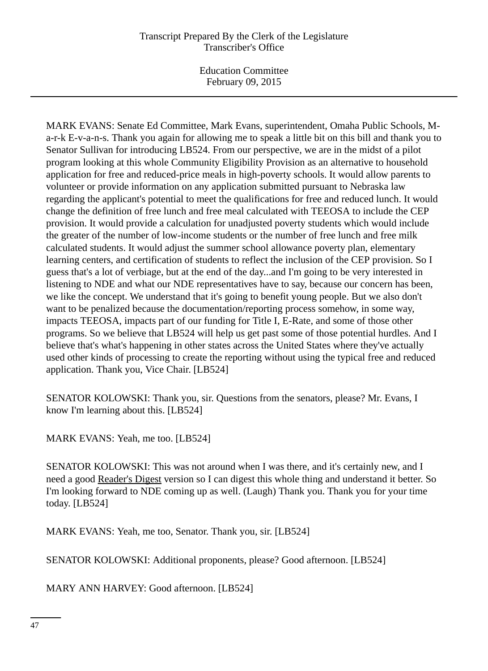Education Committee February 09, 2015

MARK EVANS: Senate Ed Committee, Mark Evans, superintendent, Omaha Public Schools, Ma-r-k E-v-a-n-s. Thank you again for allowing me to speak a little bit on this bill and thank you to Senator Sullivan for introducing LB524. From our perspective, we are in the midst of a pilot program looking at this whole Community Eligibility Provision as an alternative to household application for free and reduced-price meals in high-poverty schools. It would allow parents to volunteer or provide information on any application submitted pursuant to Nebraska law regarding the applicant's potential to meet the qualifications for free and reduced lunch. It would change the definition of free lunch and free meal calculated with TEEOSA to include the CEP provision. It would provide a calculation for unadjusted poverty students which would include the greater of the number of low-income students or the number of free lunch and free milk calculated students. It would adjust the summer school allowance poverty plan, elementary learning centers, and certification of students to reflect the inclusion of the CEP provision. So I guess that's a lot of verbiage, but at the end of the day...and I'm going to be very interested in listening to NDE and what our NDE representatives have to say, because our concern has been, we like the concept. We understand that it's going to benefit young people. But we also don't want to be penalized because the documentation/reporting process somehow, in some way, impacts TEEOSA, impacts part of our funding for Title I, E-Rate, and some of those other programs. So we believe that LB524 will help us get past some of those potential hurdles. And I believe that's what's happening in other states across the United States where they've actually used other kinds of processing to create the reporting without using the typical free and reduced application. Thank you, Vice Chair. [LB524]

SENATOR KOLOWSKI: Thank you, sir. Questions from the senators, please? Mr. Evans, I know I'm learning about this. [LB524]

MARK EVANS: Yeah, me too. [LB524]

SENATOR KOLOWSKI: This was not around when I was there, and it's certainly new, and I need a good Reader's Digest version so I can digest this whole thing and understand it better. So I'm looking forward to NDE coming up as well. (Laugh) Thank you. Thank you for your time today. [LB524]

MARK EVANS: Yeah, me too, Senator. Thank you, sir. [LB524]

SENATOR KOLOWSKI: Additional proponents, please? Good afternoon. [LB524]

MARY ANN HARVEY: Good afternoon. [LB524]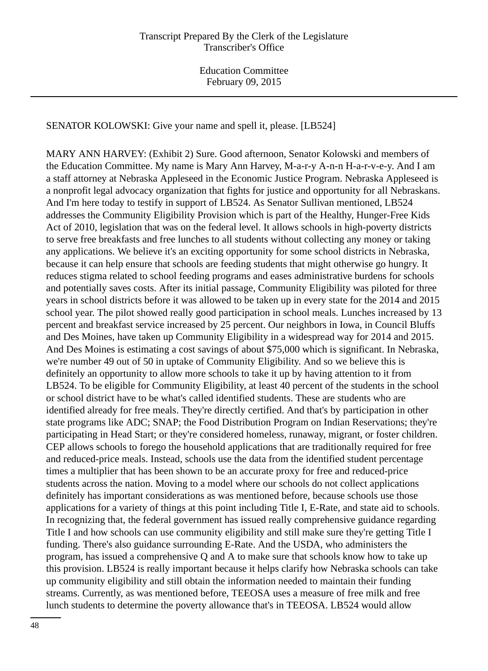SENATOR KOLOWSKI: Give your name and spell it, please. [LB524]

MARY ANN HARVEY: (Exhibit 2) Sure. Good afternoon, Senator Kolowski and members of the Education Committee. My name is Mary Ann Harvey, M-a-r-y A-n-n H-a-r-v-e-y. And I am a staff attorney at Nebraska Appleseed in the Economic Justice Program. Nebraska Appleseed is a nonprofit legal advocacy organization that fights for justice and opportunity for all Nebraskans. And I'm here today to testify in support of LB524. As Senator Sullivan mentioned, LB524 addresses the Community Eligibility Provision which is part of the Healthy, Hunger-Free Kids Act of 2010, legislation that was on the federal level. It allows schools in high-poverty districts to serve free breakfasts and free lunches to all students without collecting any money or taking any applications. We believe it's an exciting opportunity for some school districts in Nebraska, because it can help ensure that schools are feeding students that might otherwise go hungry. It reduces stigma related to school feeding programs and eases administrative burdens for schools and potentially saves costs. After its initial passage, Community Eligibility was piloted for three years in school districts before it was allowed to be taken up in every state for the 2014 and 2015 school year. The pilot showed really good participation in school meals. Lunches increased by 13 percent and breakfast service increased by 25 percent. Our neighbors in Iowa, in Council Bluffs and Des Moines, have taken up Community Eligibility in a widespread way for 2014 and 2015. And Des Moines is estimating a cost savings of about \$75,000 which is significant. In Nebraska, we're number 49 out of 50 in uptake of Community Eligibility. And so we believe this is definitely an opportunity to allow more schools to take it up by having attention to it from LB524. To be eligible for Community Eligibility, at least 40 percent of the students in the school or school district have to be what's called identified students. These are students who are identified already for free meals. They're directly certified. And that's by participation in other state programs like ADC; SNAP; the Food Distribution Program on Indian Reservations; they're participating in Head Start; or they're considered homeless, runaway, migrant, or foster children. CEP allows schools to forego the household applications that are traditionally required for free and reduced-price meals. Instead, schools use the data from the identified student percentage times a multiplier that has been shown to be an accurate proxy for free and reduced-price students across the nation. Moving to a model where our schools do not collect applications definitely has important considerations as was mentioned before, because schools use those applications for a variety of things at this point including Title I, E-Rate, and state aid to schools. In recognizing that, the federal government has issued really comprehensive guidance regarding Title I and how schools can use community eligibility and still make sure they're getting Title I funding. There's also guidance surrounding E-Rate. And the USDA, who administers the program, has issued a comprehensive Q and A to make sure that schools know how to take up this provision. LB524 is really important because it helps clarify how Nebraska schools can take up community eligibility and still obtain the information needed to maintain their funding streams. Currently, as was mentioned before, TEEOSA uses a measure of free milk and free lunch students to determine the poverty allowance that's in TEEOSA. LB524 would allow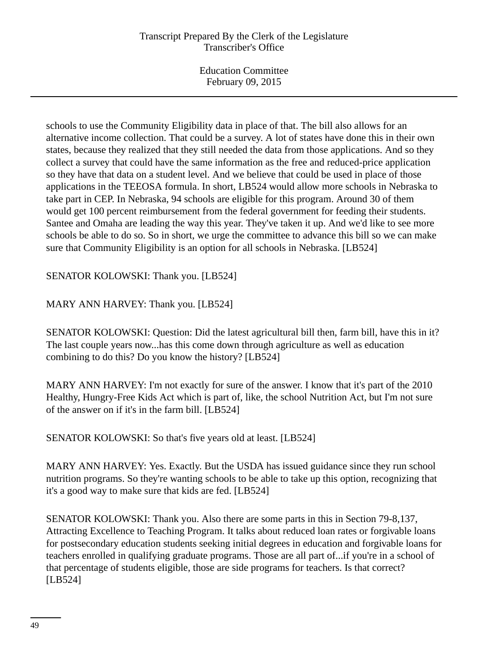schools to use the Community Eligibility data in place of that. The bill also allows for an alternative income collection. That could be a survey. A lot of states have done this in their own states, because they realized that they still needed the data from those applications. And so they collect a survey that could have the same information as the free and reduced-price application so they have that data on a student level. And we believe that could be used in place of those applications in the TEEOSA formula. In short, LB524 would allow more schools in Nebraska to take part in CEP. In Nebraska, 94 schools are eligible for this program. Around 30 of them would get 100 percent reimbursement from the federal government for feeding their students. Santee and Omaha are leading the way this year. They've taken it up. And we'd like to see more schools be able to do so. So in short, we urge the committee to advance this bill so we can make sure that Community Eligibility is an option for all schools in Nebraska. [LB524]

SENATOR KOLOWSKI: Thank you. [LB524]

MARY ANN HARVEY: Thank you. [LB524]

SENATOR KOLOWSKI: Question: Did the latest agricultural bill then, farm bill, have this in it? The last couple years now...has this come down through agriculture as well as education combining to do this? Do you know the history? [LB524]

MARY ANN HARVEY: I'm not exactly for sure of the answer. I know that it's part of the 2010 Healthy, Hungry-Free Kids Act which is part of, like, the school Nutrition Act, but I'm not sure of the answer on if it's in the farm bill. [LB524]

SENATOR KOLOWSKI: So that's five years old at least. [LB524]

MARY ANN HARVEY: Yes. Exactly. But the USDA has issued guidance since they run school nutrition programs. So they're wanting schools to be able to take up this option, recognizing that it's a good way to make sure that kids are fed. [LB524]

SENATOR KOLOWSKI: Thank you. Also there are some parts in this in Section 79-8,137, Attracting Excellence to Teaching Program. It talks about reduced loan rates or forgivable loans for postsecondary education students seeking initial degrees in education and forgivable loans for teachers enrolled in qualifying graduate programs. Those are all part of...if you're in a school of that percentage of students eligible, those are side programs for teachers. Is that correct? [LB524]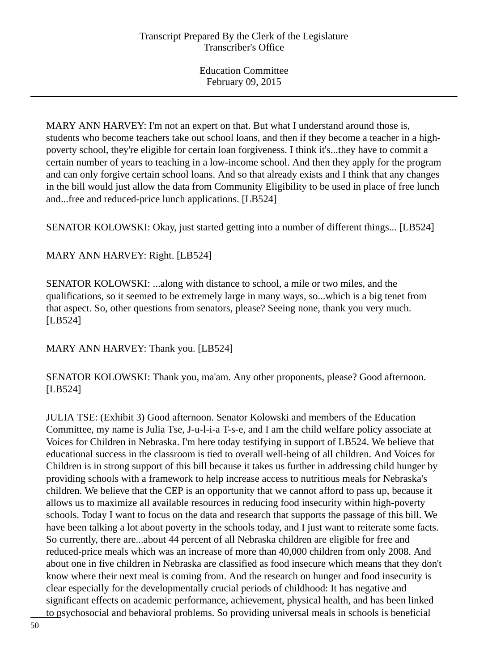MARY ANN HARVEY: I'm not an expert on that. But what I understand around those is, students who become teachers take out school loans, and then if they become a teacher in a highpoverty school, they're eligible for certain loan forgiveness. I think it's...they have to commit a certain number of years to teaching in a low-income school. And then they apply for the program and can only forgive certain school loans. And so that already exists and I think that any changes in the bill would just allow the data from Community Eligibility to be used in place of free lunch and...free and reduced-price lunch applications. [LB524]

SENATOR KOLOWSKI: Okay, just started getting into a number of different things... [LB524]

# MARY ANN HARVEY: Right. [LB524]

SENATOR KOLOWSKI: ...along with distance to school, a mile or two miles, and the qualifications, so it seemed to be extremely large in many ways, so...which is a big tenet from that aspect. So, other questions from senators, please? Seeing none, thank you very much. [LB524]

MARY ANN HARVEY: Thank you. [LB524]

SENATOR KOLOWSKI: Thank you, ma'am. Any other proponents, please? Good afternoon. [LB524]

JULIA TSE: (Exhibit 3) Good afternoon. Senator Kolowski and members of the Education Committee, my name is Julia Tse, J-u-l-i-a T-s-e, and I am the child welfare policy associate at Voices for Children in Nebraska. I'm here today testifying in support of LB524. We believe that educational success in the classroom is tied to overall well-being of all children. And Voices for Children is in strong support of this bill because it takes us further in addressing child hunger by providing schools with a framework to help increase access to nutritious meals for Nebraska's children. We believe that the CEP is an opportunity that we cannot afford to pass up, because it allows us to maximize all available resources in reducing food insecurity within high-poverty schools. Today I want to focus on the data and research that supports the passage of this bill. We have been talking a lot about poverty in the schools today, and I just want to reiterate some facts. So currently, there are...about 44 percent of all Nebraska children are eligible for free and reduced-price meals which was an increase of more than 40,000 children from only 2008. And about one in five children in Nebraska are classified as food insecure which means that they don't know where their next meal is coming from. And the research on hunger and food insecurity is clear especially for the developmentally crucial periods of childhood: It has negative and significant effects on academic performance, achievement, physical health, and has been linked to psychosocial and behavioral problems. So providing universal meals in schools is beneficial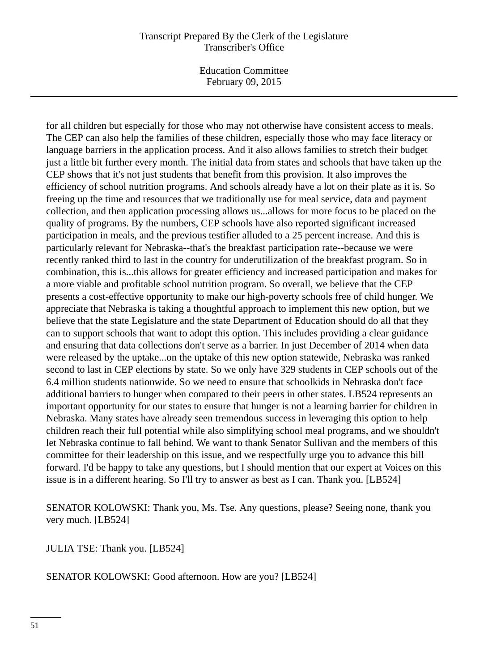Education Committee February 09, 2015

for all children but especially for those who may not otherwise have consistent access to meals. The CEP can also help the families of these children, especially those who may face literacy or language barriers in the application process. And it also allows families to stretch their budget just a little bit further every month. The initial data from states and schools that have taken up the CEP shows that it's not just students that benefit from this provision. It also improves the efficiency of school nutrition programs. And schools already have a lot on their plate as it is. So freeing up the time and resources that we traditionally use for meal service, data and payment collection, and then application processing allows us...allows for more focus to be placed on the quality of programs. By the numbers, CEP schools have also reported significant increased participation in meals, and the previous testifier alluded to a 25 percent increase. And this is particularly relevant for Nebraska--that's the breakfast participation rate--because we were recently ranked third to last in the country for underutilization of the breakfast program. So in combination, this is...this allows for greater efficiency and increased participation and makes for a more viable and profitable school nutrition program. So overall, we believe that the CEP presents a cost-effective opportunity to make our high-poverty schools free of child hunger. We appreciate that Nebraska is taking a thoughtful approach to implement this new option, but we believe that the state Legislature and the state Department of Education should do all that they can to support schools that want to adopt this option. This includes providing a clear guidance and ensuring that data collections don't serve as a barrier. In just December of 2014 when data were released by the uptake...on the uptake of this new option statewide, Nebraska was ranked second to last in CEP elections by state. So we only have 329 students in CEP schools out of the 6.4 million students nationwide. So we need to ensure that schoolkids in Nebraska don't face additional barriers to hunger when compared to their peers in other states. LB524 represents an important opportunity for our states to ensure that hunger is not a learning barrier for children in Nebraska. Many states have already seen tremendous success in leveraging this option to help children reach their full potential while also simplifying school meal programs, and we shouldn't let Nebraska continue to fall behind. We want to thank Senator Sullivan and the members of this committee for their leadership on this issue, and we respectfully urge you to advance this bill forward. I'd be happy to take any questions, but I should mention that our expert at Voices on this issue is in a different hearing. So I'll try to answer as best as I can. Thank you. [LB524]

SENATOR KOLOWSKI: Thank you, Ms. Tse. Any questions, please? Seeing none, thank you very much. [LB524]

JULIA TSE: Thank you. [LB524]

SENATOR KOLOWSKI: Good afternoon. How are you? [LB524]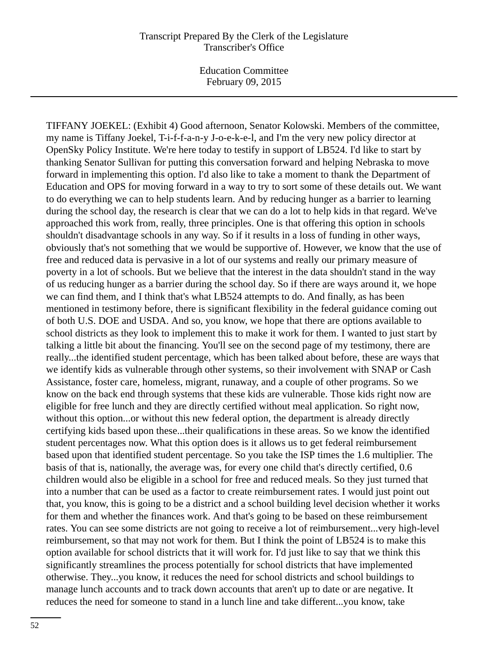Education Committee February 09, 2015

TIFFANY JOEKEL: (Exhibit 4) Good afternoon, Senator Kolowski. Members of the committee, my name is Tiffany Joekel, T-i-f-f-a-n-y J-o-e-k-e-l, and I'm the very new policy director at OpenSky Policy Institute. We're here today to testify in support of LB524. I'd like to start by thanking Senator Sullivan for putting this conversation forward and helping Nebraska to move forward in implementing this option. I'd also like to take a moment to thank the Department of Education and OPS for moving forward in a way to try to sort some of these details out. We want to do everything we can to help students learn. And by reducing hunger as a barrier to learning during the school day, the research is clear that we can do a lot to help kids in that regard. We've approached this work from, really, three principles. One is that offering this option in schools shouldn't disadvantage schools in any way. So if it results in a loss of funding in other ways, obviously that's not something that we would be supportive of. However, we know that the use of free and reduced data is pervasive in a lot of our systems and really our primary measure of poverty in a lot of schools. But we believe that the interest in the data shouldn't stand in the way of us reducing hunger as a barrier during the school day. So if there are ways around it, we hope we can find them, and I think that's what LB524 attempts to do. And finally, as has been mentioned in testimony before, there is significant flexibility in the federal guidance coming out of both U.S. DOE and USDA. And so, you know, we hope that there are options available to school districts as they look to implement this to make it work for them. I wanted to just start by talking a little bit about the financing. You'll see on the second page of my testimony, there are really...the identified student percentage, which has been talked about before, these are ways that we identify kids as vulnerable through other systems, so their involvement with SNAP or Cash Assistance, foster care, homeless, migrant, runaway, and a couple of other programs. So we know on the back end through systems that these kids are vulnerable. Those kids right now are eligible for free lunch and they are directly certified without meal application. So right now, without this option...or without this new federal option, the department is already directly certifying kids based upon these...their qualifications in these areas. So we know the identified student percentages now. What this option does is it allows us to get federal reimbursement based upon that identified student percentage. So you take the ISP times the 1.6 multiplier. The basis of that is, nationally, the average was, for every one child that's directly certified, 0.6 children would also be eligible in a school for free and reduced meals. So they just turned that into a number that can be used as a factor to create reimbursement rates. I would just point out that, you know, this is going to be a district and a school building level decision whether it works for them and whether the finances work. And that's going to be based on these reimbursement rates. You can see some districts are not going to receive a lot of reimbursement...very high-level reimbursement, so that may not work for them. But I think the point of LB524 is to make this option available for school districts that it will work for. I'd just like to say that we think this significantly streamlines the process potentially for school districts that have implemented otherwise. They...you know, it reduces the need for school districts and school buildings to manage lunch accounts and to track down accounts that aren't up to date or are negative. It reduces the need for someone to stand in a lunch line and take different...you know, take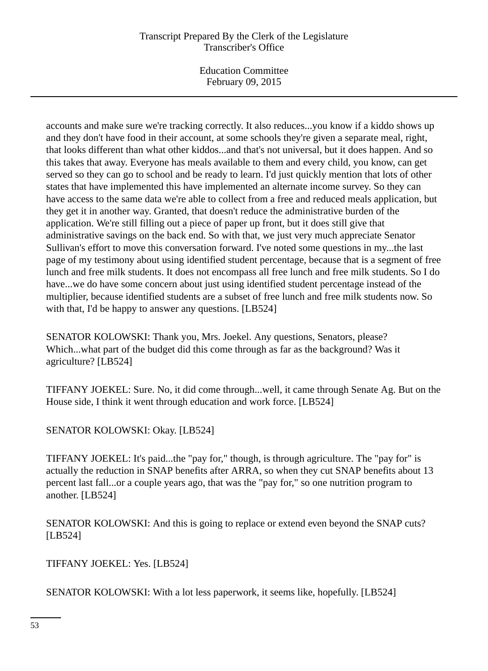Education Committee February 09, 2015

accounts and make sure we're tracking correctly. It also reduces...you know if a kiddo shows up and they don't have food in their account, at some schools they're given a separate meal, right, that looks different than what other kiddos...and that's not universal, but it does happen. And so this takes that away. Everyone has meals available to them and every child, you know, can get served so they can go to school and be ready to learn. I'd just quickly mention that lots of other states that have implemented this have implemented an alternate income survey. So they can have access to the same data we're able to collect from a free and reduced meals application, but they get it in another way. Granted, that doesn't reduce the administrative burden of the application. We're still filling out a piece of paper up front, but it does still give that administrative savings on the back end. So with that, we just very much appreciate Senator Sullivan's effort to move this conversation forward. I've noted some questions in my...the last page of my testimony about using identified student percentage, because that is a segment of free lunch and free milk students. It does not encompass all free lunch and free milk students. So I do have...we do have some concern about just using identified student percentage instead of the multiplier, because identified students are a subset of free lunch and free milk students now. So with that, I'd be happy to answer any questions. [LB524]

SENATOR KOLOWSKI: Thank you, Mrs. Joekel. Any questions, Senators, please? Which...what part of the budget did this come through as far as the background? Was it agriculture? [LB524]

TIFFANY JOEKEL: Sure. No, it did come through...well, it came through Senate Ag. But on the House side, I think it went through education and work force. [LB524]

SENATOR KOLOWSKI: Okay. [LB524]

TIFFANY JOEKEL: It's paid...the "pay for," though, is through agriculture. The "pay for" is actually the reduction in SNAP benefits after ARRA, so when they cut SNAP benefits about 13 percent last fall...or a couple years ago, that was the "pay for," so one nutrition program to another. [LB524]

SENATOR KOLOWSKI: And this is going to replace or extend even beyond the SNAP cuts? [LB524]

TIFFANY JOEKEL: Yes. [LB524]

SENATOR KOLOWSKI: With a lot less paperwork, it seems like, hopefully. [LB524]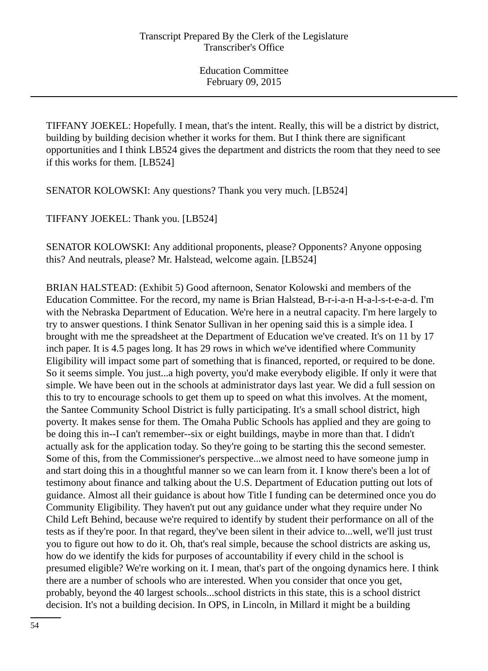TIFFANY JOEKEL: Hopefully. I mean, that's the intent. Really, this will be a district by district, building by building decision whether it works for them. But I think there are significant opportunities and I think LB524 gives the department and districts the room that they need to see if this works for them. [LB524]

SENATOR KOLOWSKI: Any questions? Thank you very much. [LB524]

TIFFANY JOEKEL: Thank you. [LB524]

SENATOR KOLOWSKI: Any additional proponents, please? Opponents? Anyone opposing this? And neutrals, please? Mr. Halstead, welcome again. [LB524]

BRIAN HALSTEAD: (Exhibit 5) Good afternoon, Senator Kolowski and members of the Education Committee. For the record, my name is Brian Halstead, B-r-i-a-n H-a-l-s-t-e-a-d. I'm with the Nebraska Department of Education. We're here in a neutral capacity. I'm here largely to try to answer questions. I think Senator Sullivan in her opening said this is a simple idea. I brought with me the spreadsheet at the Department of Education we've created. It's on 11 by 17 inch paper. It is 4.5 pages long. It has 29 rows in which we've identified where Community Eligibility will impact some part of something that is financed, reported, or required to be done. So it seems simple. You just...a high poverty, you'd make everybody eligible. If only it were that simple. We have been out in the schools at administrator days last year. We did a full session on this to try to encourage schools to get them up to speed on what this involves. At the moment, the Santee Community School District is fully participating. It's a small school district, high poverty. It makes sense for them. The Omaha Public Schools has applied and they are going to be doing this in--I can't remember--six or eight buildings, maybe in more than that. I didn't actually ask for the application today. So they're going to be starting this the second semester. Some of this, from the Commissioner's perspective...we almost need to have someone jump in and start doing this in a thoughtful manner so we can learn from it. I know there's been a lot of testimony about finance and talking about the U.S. Department of Education putting out lots of guidance. Almost all their guidance is about how Title I funding can be determined once you do Community Eligibility. They haven't put out any guidance under what they require under No Child Left Behind, because we're required to identify by student their performance on all of the tests as if they're poor. In that regard, they've been silent in their advice to...well, we'll just trust you to figure out how to do it. Oh, that's real simple, because the school districts are asking us, how do we identify the kids for purposes of accountability if every child in the school is presumed eligible? We're working on it. I mean, that's part of the ongoing dynamics here. I think there are a number of schools who are interested. When you consider that once you get, probably, beyond the 40 largest schools...school districts in this state, this is a school district decision. It's not a building decision. In OPS, in Lincoln, in Millard it might be a building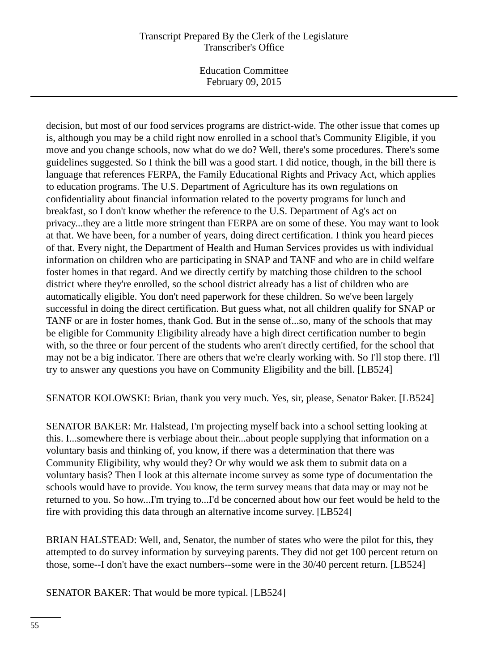Education Committee February 09, 2015

decision, but most of our food services programs are district-wide. The other issue that comes up is, although you may be a child right now enrolled in a school that's Community Eligible, if you move and you change schools, now what do we do? Well, there's some procedures. There's some guidelines suggested. So I think the bill was a good start. I did notice, though, in the bill there is language that references FERPA, the Family Educational Rights and Privacy Act, which applies to education programs. The U.S. Department of Agriculture has its own regulations on confidentiality about financial information related to the poverty programs for lunch and breakfast, so I don't know whether the reference to the U.S. Department of Ag's act on privacy...they are a little more stringent than FERPA are on some of these. You may want to look at that. We have been, for a number of years, doing direct certification. I think you heard pieces of that. Every night, the Department of Health and Human Services provides us with individual information on children who are participating in SNAP and TANF and who are in child welfare foster homes in that regard. And we directly certify by matching those children to the school district where they're enrolled, so the school district already has a list of children who are automatically eligible. You don't need paperwork for these children. So we've been largely successful in doing the direct certification. But guess what, not all children qualify for SNAP or TANF or are in foster homes, thank God. But in the sense of...so, many of the schools that may be eligible for Community Eligibility already have a high direct certification number to begin with, so the three or four percent of the students who aren't directly certified, for the school that may not be a big indicator. There are others that we're clearly working with. So I'll stop there. I'll try to answer any questions you have on Community Eligibility and the bill. [LB524]

SENATOR KOLOWSKI: Brian, thank you very much. Yes, sir, please, Senator Baker. [LB524]

SENATOR BAKER: Mr. Halstead, I'm projecting myself back into a school setting looking at this. I...somewhere there is verbiage about their...about people supplying that information on a voluntary basis and thinking of, you know, if there was a determination that there was Community Eligibility, why would they? Or why would we ask them to submit data on a voluntary basis? Then I look at this alternate income survey as some type of documentation the schools would have to provide. You know, the term survey means that data may or may not be returned to you. So how...I'm trying to...I'd be concerned about how our feet would be held to the fire with providing this data through an alternative income survey. [LB524]

BRIAN HALSTEAD: Well, and, Senator, the number of states who were the pilot for this, they attempted to do survey information by surveying parents. They did not get 100 percent return on those, some--I don't have the exact numbers--some were in the 30/40 percent return. [LB524]

SENATOR BAKER: That would be more typical. [LB524]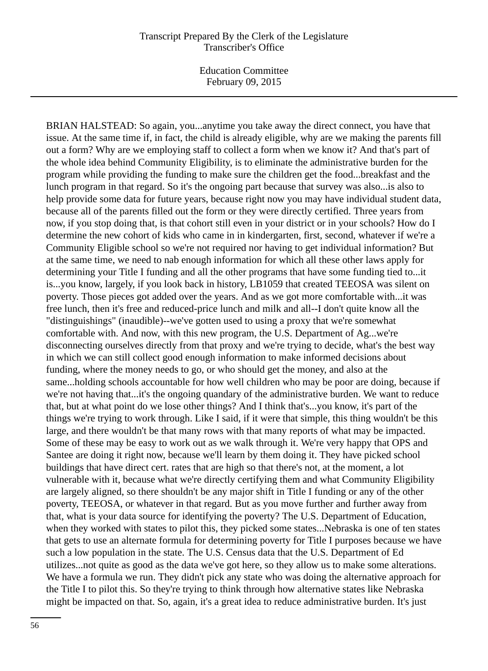BRIAN HALSTEAD: So again, you...anytime you take away the direct connect, you have that issue. At the same time if, in fact, the child is already eligible, why are we making the parents fill out a form? Why are we employing staff to collect a form when we know it? And that's part of the whole idea behind Community Eligibility, is to eliminate the administrative burden for the program while providing the funding to make sure the children get the food...breakfast and the lunch program in that regard. So it's the ongoing part because that survey was also...is also to help provide some data for future years, because right now you may have individual student data, because all of the parents filled out the form or they were directly certified. Three years from now, if you stop doing that, is that cohort still even in your district or in your schools? How do I determine the new cohort of kids who came in in kindergarten, first, second, whatever if we're a Community Eligible school so we're not required nor having to get individual information? But at the same time, we need to nab enough information for which all these other laws apply for determining your Title I funding and all the other programs that have some funding tied to...it is...you know, largely, if you look back in history, LB1059 that created TEEOSA was silent on poverty. Those pieces got added over the years. And as we got more comfortable with...it was free lunch, then it's free and reduced-price lunch and milk and all--I don't quite know all the "distinguishings" (inaudible)--we've gotten used to using a proxy that we're somewhat comfortable with. And now, with this new program, the U.S. Department of Ag...we're disconnecting ourselves directly from that proxy and we're trying to decide, what's the best way in which we can still collect good enough information to make informed decisions about funding, where the money needs to go, or who should get the money, and also at the same...holding schools accountable for how well children who may be poor are doing, because if we're not having that...it's the ongoing quandary of the administrative burden. We want to reduce that, but at what point do we lose other things? And I think that's...you know, it's part of the things we're trying to work through. Like I said, if it were that simple, this thing wouldn't be this large, and there wouldn't be that many rows with that many reports of what may be impacted. Some of these may be easy to work out as we walk through it. We're very happy that OPS and Santee are doing it right now, because we'll learn by them doing it. They have picked school buildings that have direct cert. rates that are high so that there's not, at the moment, a lot vulnerable with it, because what we're directly certifying them and what Community Eligibility are largely aligned, so there shouldn't be any major shift in Title I funding or any of the other poverty, TEEOSA, or whatever in that regard. But as you move further and further away from that, what is your data source for identifying the poverty? The U.S. Department of Education, when they worked with states to pilot this, they picked some states...Nebraska is one of ten states that gets to use an alternate formula for determining poverty for Title I purposes because we have such a low population in the state. The U.S. Census data that the U.S. Department of Ed utilizes...not quite as good as the data we've got here, so they allow us to make some alterations. We have a formula we run. They didn't pick any state who was doing the alternative approach for the Title I to pilot this. So they're trying to think through how alternative states like Nebraska might be impacted on that. So, again, it's a great idea to reduce administrative burden. It's just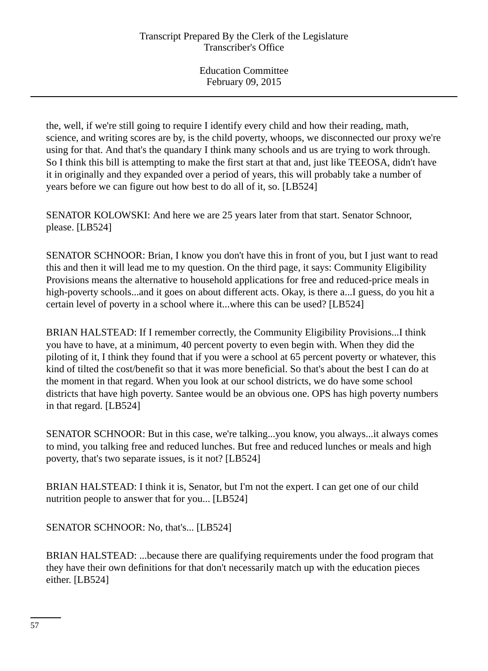the, well, if we're still going to require I identify every child and how their reading, math, science, and writing scores are by, is the child poverty, whoops, we disconnected our proxy we're using for that. And that's the quandary I think many schools and us are trying to work through. So I think this bill is attempting to make the first start at that and, just like TEEOSA, didn't have it in originally and they expanded over a period of years, this will probably take a number of years before we can figure out how best to do all of it, so. [LB524]

SENATOR KOLOWSKI: And here we are 25 years later from that start. Senator Schnoor, please. [LB524]

SENATOR SCHNOOR: Brian, I know you don't have this in front of you, but I just want to read this and then it will lead me to my question. On the third page, it says: Community Eligibility Provisions means the alternative to household applications for free and reduced-price meals in high-poverty schools...and it goes on about different acts. Okay, is there a... I guess, do you hit a certain level of poverty in a school where it...where this can be used? [LB524]

BRIAN HALSTEAD: If I remember correctly, the Community Eligibility Provisions...I think you have to have, at a minimum, 40 percent poverty to even begin with. When they did the piloting of it, I think they found that if you were a school at 65 percent poverty or whatever, this kind of tilted the cost/benefit so that it was more beneficial. So that's about the best I can do at the moment in that regard. When you look at our school districts, we do have some school districts that have high poverty. Santee would be an obvious one. OPS has high poverty numbers in that regard. [LB524]

SENATOR SCHNOOR: But in this case, we're talking...you know, you always...it always comes to mind, you talking free and reduced lunches. But free and reduced lunches or meals and high poverty, that's two separate issues, is it not? [LB524]

BRIAN HALSTEAD: I think it is, Senator, but I'm not the expert. I can get one of our child nutrition people to answer that for you... [LB524]

SENATOR SCHNOOR: No, that's... [LB524]

BRIAN HALSTEAD: ...because there are qualifying requirements under the food program that they have their own definitions for that don't necessarily match up with the education pieces either. [LB524]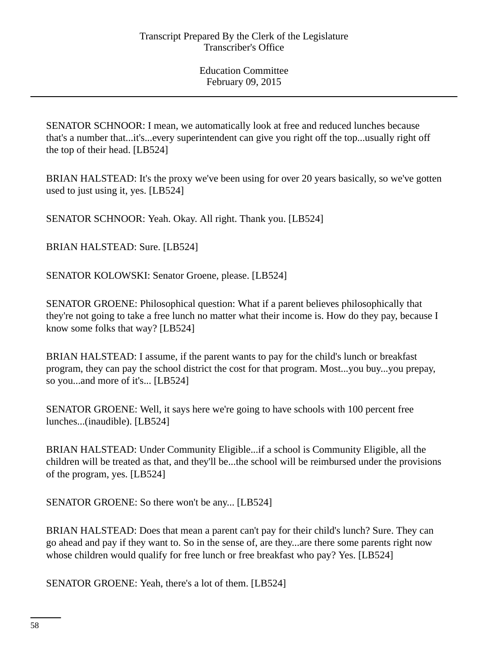SENATOR SCHNOOR: I mean, we automatically look at free and reduced lunches because that's a number that...it's...every superintendent can give you right off the top...usually right off the top of their head. [LB524]

BRIAN HALSTEAD: It's the proxy we've been using for over 20 years basically, so we've gotten used to just using it, yes. [LB524]

SENATOR SCHNOOR: Yeah. Okay. All right. Thank you. [LB524]

BRIAN HALSTEAD: Sure. [LB524]

SENATOR KOLOWSKI: Senator Groene, please. [LB524]

SENATOR GROENE: Philosophical question: What if a parent believes philosophically that they're not going to take a free lunch no matter what their income is. How do they pay, because I know some folks that way? [LB524]

BRIAN HALSTEAD: I assume, if the parent wants to pay for the child's lunch or breakfast program, they can pay the school district the cost for that program. Most...you buy...you prepay, so you...and more of it's... [LB524]

SENATOR GROENE: Well, it says here we're going to have schools with 100 percent free lunches...(inaudible). [LB524]

BRIAN HALSTEAD: Under Community Eligible...if a school is Community Eligible, all the children will be treated as that, and they'll be...the school will be reimbursed under the provisions of the program, yes. [LB524]

SENATOR GROENE: So there won't be any... [LB524]

BRIAN HALSTEAD: Does that mean a parent can't pay for their child's lunch? Sure. They can go ahead and pay if they want to. So in the sense of, are they...are there some parents right now whose children would qualify for free lunch or free breakfast who pay? Yes. [LB524]

SENATOR GROENE: Yeah, there's a lot of them. [LB524]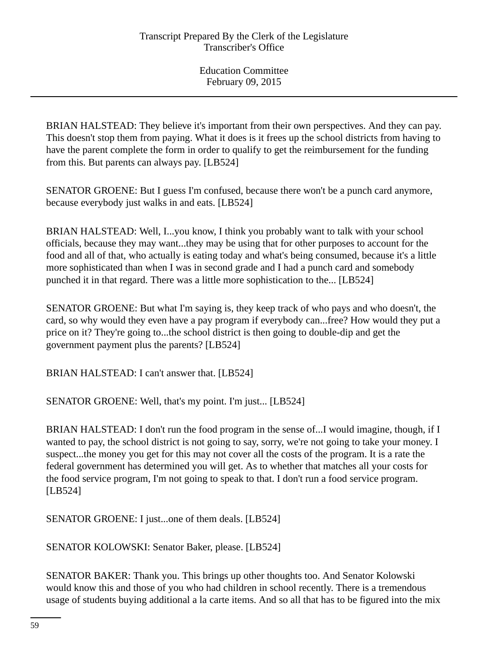BRIAN HALSTEAD: They believe it's important from their own perspectives. And they can pay. This doesn't stop them from paying. What it does is it frees up the school districts from having to have the parent complete the form in order to qualify to get the reimbursement for the funding from this. But parents can always pay. [LB524]

SENATOR GROENE: But I guess I'm confused, because there won't be a punch card anymore, because everybody just walks in and eats. [LB524]

BRIAN HALSTEAD: Well, I...you know, I think you probably want to talk with your school officials, because they may want...they may be using that for other purposes to account for the food and all of that, who actually is eating today and what's being consumed, because it's a little more sophisticated than when I was in second grade and I had a punch card and somebody punched it in that regard. There was a little more sophistication to the... [LB524]

SENATOR GROENE: But what I'm saying is, they keep track of who pays and who doesn't, the card, so why would they even have a pay program if everybody can...free? How would they put a price on it? They're going to...the school district is then going to double-dip and get the government payment plus the parents? [LB524]

BRIAN HALSTEAD: I can't answer that. [LB524]

SENATOR GROENE: Well, that's my point. I'm just... [LB524]

BRIAN HALSTEAD: I don't run the food program in the sense of...I would imagine, though, if I wanted to pay, the school district is not going to say, sorry, we're not going to take your money. I suspect...the money you get for this may not cover all the costs of the program. It is a rate the federal government has determined you will get. As to whether that matches all your costs for the food service program, I'm not going to speak to that. I don't run a food service program. [LB524]

SENATOR GROENE: I just...one of them deals. [LB524]

SENATOR KOLOWSKI: Senator Baker, please. [LB524]

SENATOR BAKER: Thank you. This brings up other thoughts too. And Senator Kolowski would know this and those of you who had children in school recently. There is a tremendous usage of students buying additional a la carte items. And so all that has to be figured into the mix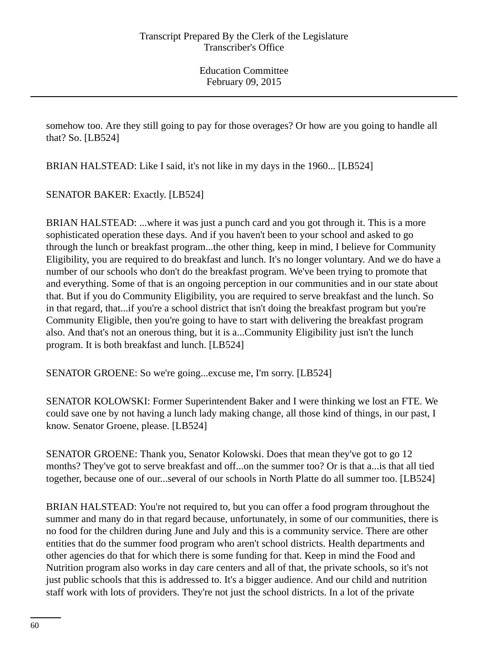somehow too. Are they still going to pay for those overages? Or how are you going to handle all that? So. [LB524]

BRIAN HALSTEAD: Like I said, it's not like in my days in the 1960... [LB524]

SENATOR BAKER: Exactly. [LB524]

BRIAN HALSTEAD: ...where it was just a punch card and you got through it. This is a more sophisticated operation these days. And if you haven't been to your school and asked to go through the lunch or breakfast program...the other thing, keep in mind, I believe for Community Eligibility, you are required to do breakfast and lunch. It's no longer voluntary. And we do have a number of our schools who don't do the breakfast program. We've been trying to promote that and everything. Some of that is an ongoing perception in our communities and in our state about that. But if you do Community Eligibility, you are required to serve breakfast and the lunch. So in that regard, that...if you're a school district that isn't doing the breakfast program but you're Community Eligible, then you're going to have to start with delivering the breakfast program also. And that's not an onerous thing, but it is a...Community Eligibility just isn't the lunch program. It is both breakfast and lunch. [LB524]

SENATOR GROENE: So we're going...excuse me, I'm sorry. [LB524]

SENATOR KOLOWSKI: Former Superintendent Baker and I were thinking we lost an FTE. We could save one by not having a lunch lady making change, all those kind of things, in our past, I know. Senator Groene, please. [LB524]

SENATOR GROENE: Thank you, Senator Kolowski. Does that mean they've got to go 12 months? They've got to serve breakfast and off...on the summer too? Or is that a...is that all tied together, because one of our...several of our schools in North Platte do all summer too. [LB524]

BRIAN HALSTEAD: You're not required to, but you can offer a food program throughout the summer and many do in that regard because, unfortunately, in some of our communities, there is no food for the children during June and July and this is a community service. There are other entities that do the summer food program who aren't school districts. Health departments and other agencies do that for which there is some funding for that. Keep in mind the Food and Nutrition program also works in day care centers and all of that, the private schools, so it's not just public schools that this is addressed to. It's a bigger audience. And our child and nutrition staff work with lots of providers. They're not just the school districts. In a lot of the private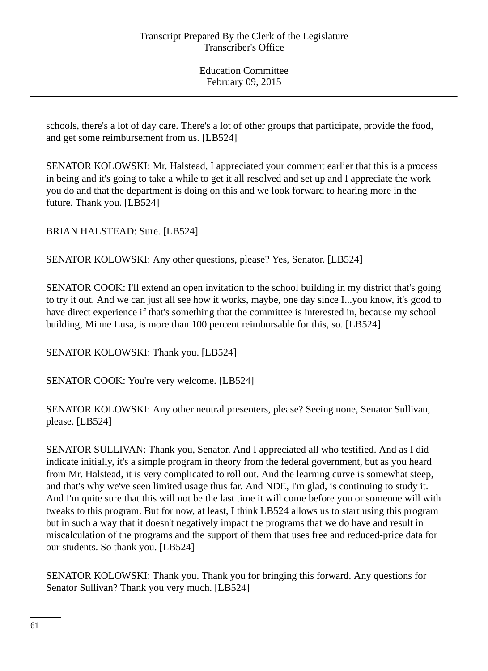schools, there's a lot of day care. There's a lot of other groups that participate, provide the food, and get some reimbursement from us. [LB524]

SENATOR KOLOWSKI: Mr. Halstead, I appreciated your comment earlier that this is a process in being and it's going to take a while to get it all resolved and set up and I appreciate the work you do and that the department is doing on this and we look forward to hearing more in the future. Thank you. [LB524]

BRIAN HALSTEAD: Sure. [LB524]

SENATOR KOLOWSKI: Any other questions, please? Yes, Senator. [LB524]

SENATOR COOK: I'll extend an open invitation to the school building in my district that's going to try it out. And we can just all see how it works, maybe, one day since I...you know, it's good to have direct experience if that's something that the committee is interested in, because my school building, Minne Lusa, is more than 100 percent reimbursable for this, so. [LB524]

SENATOR KOLOWSKI: Thank you. [LB524]

SENATOR COOK: You're very welcome. [LB524]

SENATOR KOLOWSKI: Any other neutral presenters, please? Seeing none, Senator Sullivan, please. [LB524]

SENATOR SULLIVAN: Thank you, Senator. And I appreciated all who testified. And as I did indicate initially, it's a simple program in theory from the federal government, but as you heard from Mr. Halstead, it is very complicated to roll out. And the learning curve is somewhat steep, and that's why we've seen limited usage thus far. And NDE, I'm glad, is continuing to study it. And I'm quite sure that this will not be the last time it will come before you or someone will with tweaks to this program. But for now, at least, I think LB524 allows us to start using this program but in such a way that it doesn't negatively impact the programs that we do have and result in miscalculation of the programs and the support of them that uses free and reduced-price data for our students. So thank you. [LB524]

SENATOR KOLOWSKI: Thank you. Thank you for bringing this forward. Any questions for Senator Sullivan? Thank you very much. [LB524]